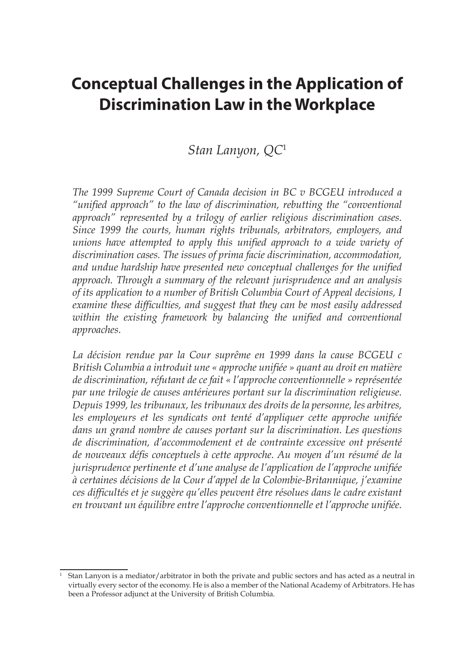# **Conceptual Challenges in the Application of Discrimination Law in the Workplace**

## *Stan Lanyon, QC*<sup>1</sup>

*The 1999 Supreme Court of Canada decision in BC v BCGEU introduced a "unified approach" to the law of discrimination, rebutting the "conventional approach" represented by a trilogy of earlier religious discrimination cases. Since 1999 the courts, human rights tribunals, arbitrators, employers, and unions have attempted to apply this unified approach to a wide variety of discrimination cases. The issues of prima facie discrimination, accommodation, and undue hardship have presented new conceptual challenges for the unified approach. Through a summary of the relevant jurisprudence and an analysis of its application to a number of British Columbia Court of Appeal decisions, I examine these difficulties, and suggest that they can be most easily addressed within the existing framework by balancing the unified and conventional approaches.*

*La décision rendue par la Cour suprême en 1999 dans la cause BCGEU c British Columbia a introduit une « approche unifiée » quant au droit en matière de discrimination, réfutant de ce fait « l'approche conventionnelle » représentée par une trilogie de causes antérieures portant sur la discrimination religieuse. Depuis 1999, les tribunaux, les tribunaux des droits de la personne, les arbitres, les employeurs et les syndicats ont tenté d'appliquer cette approche unifiée dans un grand nombre de causes portant sur la discrimination. Les questions de discrimination, d'accommodement et de contrainte excessive ont présenté de nouveaux défis conceptuels à cette approche. Au moyen d'un résumé de la jurisprudence pertinente et d'une analyse de l'application de l'approche unifiée à certaines décisions de la Cour d'appel de la Colombie-Britannique, j'examine ces difficultés et je suggère qu'elles peuvent être résolues dans le cadre existant en trouvant un équilibre entre l'approche conventionnelle et l'approche unifiée.*

Stan Lanyon is a mediator/arbitrator in both the private and public sectors and has acted as a neutral in virtually every sector of the economy. He is also a member of the National Academy of Arbitrators. He has been a Professor adjunct at the University of British Columbia.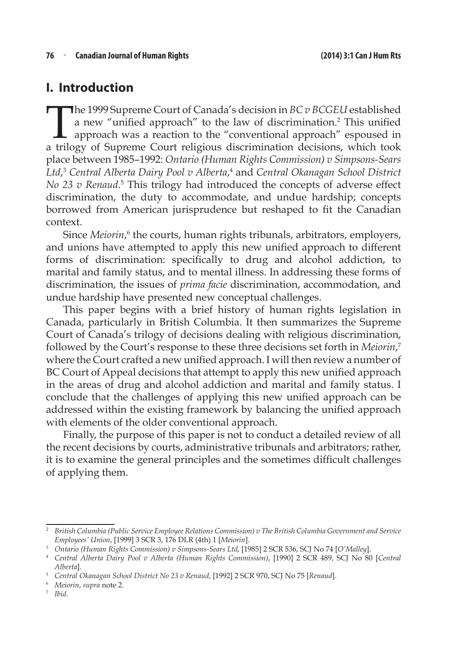### **I. Introduction**

The 1999 Supreme Court of Canada's decision in *BC v BCGEU* established<br>a new "unified approach" to the law of discrimination.<sup>2</sup> This unified<br>approach was a reaction to the "conventional approach" espoused in<br>a trilogy of a new "unified approach" to the law of discrimination.<sup>2</sup> This unified approach was a reaction to the "conventional approach" espoused in a trilogy of Supreme Court religious discrimination decisions, which took place between 1985–1992: *Ontario (Human Rights Commission) v Simpsons-Sears Ltd*, <sup>3</sup> *Central Alberta Dairy Pool v Alberta*, 4 and *Central Okanagan School District*  No 23 v Renaud.<sup>5</sup> This trilogy had introduced the concepts of adverse effect discrimination, the duty to accommodate, and undue hardship; concepts borrowed from American jurisprudence but reshaped to fit the Canadian context.

Since *Meiorin*,<sup>6</sup> the courts, human rights tribunals, arbitrators, employers, and unions have attempted to apply this new unified approach to different forms of discrimination: specifically to drug and alcohol addiction, to marital and family status, and to mental illness. In addressing these forms of discrimination, the issues of *prima facie* discrimination, accommodation, and undue hardship have presented new conceptual challenges.

This paper begins with a brief history of human rights legislation in Canada, particularly in British Columbia. It then summarizes the Supreme Court of Canada's trilogy of decisions dealing with religious discrimination, followed by the Court's response to these three decisions set forth in *Meiorin*, 7 where the Court crafted a new unified approach. I will then review a number of BC Court of Appeal decisions that attempt to apply this new unified approach in the areas of drug and alcohol addiction and marital and family status. I conclude that the challenges of applying this new unified approach can be addressed within the existing framework by balancing the unified approach with elements of the older conventional approach.

Finally, the purpose of this paper is not to conduct a detailed review of all the recent decisions by courts, administrative tribunals and arbitrators; rather, it is to examine the general principles and the sometimes difficult challenges of applying them.

<sup>2</sup> *British Columbia (Public Service Employee Relations Commission) v The British Columbia Government and Service Employees' Union*, [1999] 3 SCR 3, 176 DLR (4th) 1 [*Meiorin*].

<sup>3</sup> *Ontario (Human Rights Commission) v Simpsons-Sears Ltd*, [1985] 2 SCR 536, SCJ No 74 [*O'Malley*].

<sup>4</sup> *Central Alberta Dairy Pool v Alberta (Human Rights Commission)*, [1990] 2 SCR 489, SCJ No 80 [*Central Alberta*].

<sup>5</sup> *Central Okanagan School District No 23 v Renaud*, [1992] 2 SCR 970, SCJ No 75 [*Renaud*].

<sup>6</sup> *Meiorin*, *supra* note 2.

<sup>7</sup> *Ibid*.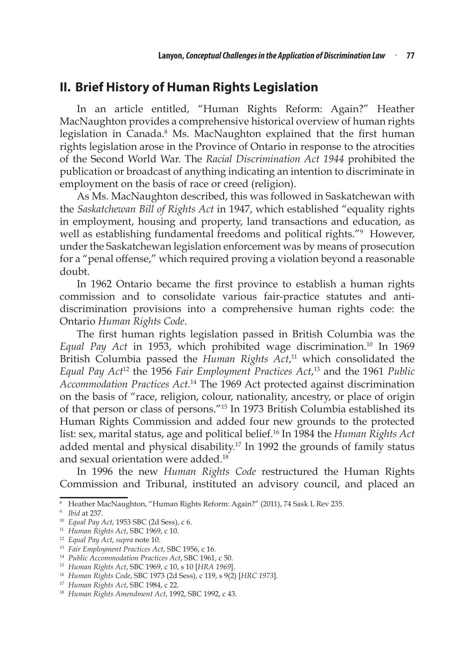### **II. Brief History of Human Rights Legislation**

In an article entitled, "Human Rights Reform: Again?" Heather MacNaughton provides a comprehensive historical overview of human rights legislation in Canada.<sup>8</sup> Ms. MacNaughton explained that the first human rights legislation arose in the Province of Ontario in response to the atrocities of the Second World War. The *Racial Discrimination Act 1944* prohibited the publication or broadcast of anything indicating an intention to discriminate in employment on the basis of race or creed (religion).

As Ms. MacNaughton described, this was followed in Saskatchewan with the *Saskatchewan Bill of Rights Act* in 1947, which established "equality rights in employment, housing and property, land transactions and education, as well as establishing fundamental freedoms and political rights."<sup>9</sup> However, under the Saskatchewan legislation enforcement was by means of prosecution for a "penal offense," which required proving a violation beyond a reasonable doubt.

In 1962 Ontario became the first province to establish a human rights commission and to consolidate various fair-practice statutes and antidiscrimination provisions into a comprehensive human rights code: the Ontario *Human Rights Code*.

The first human rights legislation passed in British Columbia was the *Equal Pay Act* in 1953, which prohibited wage discrimination.10 In 1969 British Columbia passed the *Human Rights Act*, 11 which consolidated the *Equal Pay Act*<sup>12</sup> the 1956 *Fair Employment Practices Act*, 13 and the 1961 *Public Accommodation Practices Act.*<sup>14</sup> The 1969 Act protected against discrimination on the basis of "race, religion, colour, nationality, ancestry, or place of origin of that person or class of persons."15 In 1973 British Columbia established its Human Rights Commission and added four new grounds to the protected list: sex, marital status, age and political belief.16 In 1984 the *Human Rights Act* added mental and physical disability.<sup>17</sup> In 1992 the grounds of family status and sexual orientation were added.18

In 1996 the new *Human Rights Code* restructured the Human Rights Commission and Tribunal, instituted an advisory council, and placed an

<sup>8</sup> Heather MacNaughton, "Human Rights Reform: Again?" (2011), 74 Sask L Rev 235.

<sup>9</sup> *Ibid* at 237.

<sup>10</sup> *Equal Pay Act*, 1953 SBC (2d Sess), c 6.

<sup>11</sup> *Human Rights Act*, SBC 1969, c 10.

<sup>12</sup> *Equal Pay Act*, *supra* note 10.

<sup>13</sup> *Fair Employment Practices Act*, SBC 1956, c 16.

<sup>14</sup> *Public Accommodation Practices Act*, SBC 1961, c 50.

<sup>15</sup> *Human Rights Act*, SBC 1969, c 10, s 10 [*HRA 1969*].

<sup>16</sup> *Human Rights Code*, SBC 1973 (2d Sess), c 119, s 9(2) [*HRC 1973*].

<sup>17</sup> *Human Rights Act*, SBC 1984, c 22.

<sup>18</sup> *Human Rights Amendment Act*, 1992, SBC 1992, c 43.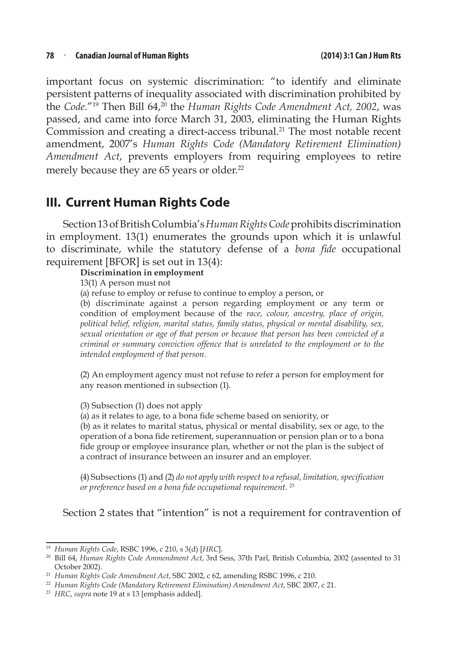important focus on systemic discrimination: "to identify and eliminate persistent patterns of inequality associated with discrimination prohibited by the *Code.*"<sup>19</sup> Then Bill 64,<sup>20</sup> the *Human Rights Code Amendment Act, 2002*, was passed, and came into force March 31, 2003, eliminating the Human Rights Commission and creating a direct-access tribunal.<sup>21</sup> The most notable recent amendment, 2007's *Human Rights Code (Mandatory Retirement Elimination) Amendment Act*, prevents employers from requiring employees to retire merely because they are 65 years or older.<sup>22</sup>

## **III. Current Human Rights Code**

Section 13 of British Columbia's *Human Rights Code* prohibits discrimination in employment. 13(1) enumerates the grounds upon which it is unlawful to discriminate, while the statutory defense of a *bona fide* occupational requirement [BFOR] is set out in 13(4):

#### **Discrimination in employment**

13(1) A person must not

(a) refuse to employ or refuse to continue to employ a person, or

(b) discriminate against a person regarding employment or any term or condition of employment because of the *race, colour, ancestry, place of origin, political belief, religion, marital status, family status, physical or mental disability, sex, sexual orientation or age of that person or because that person has been convicted of a criminal or summary conviction offence that is unrelated to the employment or to the intended employment of that person.*

(2) An employment agency must not refuse to refer a person for employment for any reason mentioned in subsection (1).

(3) Subsection (1) does not apply

(a) as it relates to age, to a bona fide scheme based on seniority, or

(b) as it relates to marital status, physical or mental disability, sex or age, to the operation of a bona fide retirement, superannuation or pension plan or to a bona fide group or employee insurance plan, whether or not the plan is the subject of a contract of insurance between an insurer and an employer.

(4) Subsections (1) and (2) *do not apply with respect to a refusal, limitation, specification or preference based on a bona fide occupational requirement.* <sup>23</sup>

### Section 2 states that "intention" is not a requirement for contravention of

<sup>19</sup> *Human Rights Code*, RSBC 1996, c 210, s 3(d) [*HRC*].

<sup>20</sup> Bill 64, *Human Rights Code Ammendment Act*, 3rd Sess, 37th Parl, British Columbia, 2002 (assented to 31 October 2002).

<sup>21</sup> *Human Rights Code Amendment Act*, SBC 2002, c 62, amending RSBC 1996, c 210.

<sup>22</sup> *Human Rights Code (Mandatory Retirement Elimination) Amendment Act*, SBC 2007, c 21.

<sup>23</sup> *HRC*, *supra* note 19 at s 13 [emphasis added].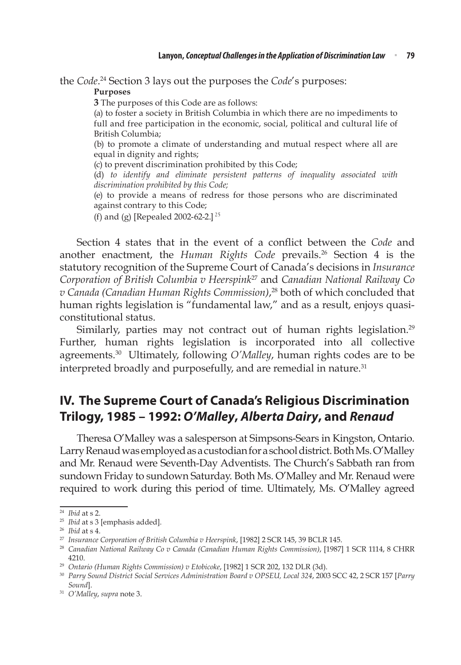the *Code*. 24 Section 3 lays out the purposes the *Code*'s purposes:

#### **Purposes**

**3** The purposes of this Code are as follows:

(a) to foster a society in British Columbia in which there are no impediments to full and free participation in the economic, social, political and cultural life of British Columbia;

(b) to promote a climate of understanding and mutual respect where all are equal in dignity and rights;

(c) to prevent discrimination prohibited by this Code;

(d) *to identify and eliminate persistent patterns of inequality associated with discrimination prohibited by this Code;*

(e) to provide a means of redress for those persons who are discriminated against contrary to this Code;

(f) and (g) [Repealed 2002-62-2.] <sup>25</sup>

Section 4 states that in the event of a conflict between the *Code* and another enactment, the *Human Rights Code* prevails.<sup>26</sup> Section 4 is the statutory recognition of the Supreme Court of Canada's decisions in *Insurance Corporation of British Columbia v Heerspink*27 and *Canadian National Railway Co v Canada (Canadian Human Rights Commission)*, 28 both of which concluded that human rights legislation is "fundamental law," and as a result, enjoys quasiconstitutional status.

Similarly, parties may not contract out of human rights legislation.<sup>29</sup> Further, human rights legislation is incorporated into all collective agreements.30 Ultimately, following *O'Malley*, human rights codes are to be interpreted broadly and purposefully, and are remedial in nature.<sup>31</sup>

## **IV. The Supreme Court of Canada's Religious Discrimination Trilogy, 1985 – 1992:** *O'Malley***,** *Alberta Dairy***, and** *Renaud*

Theresa O'Malley was a salesperson at Simpsons-Sears in Kingston, Ontario. Larry Renaud was employed as a custodian for a school district. Both Ms. O'Malley and Mr. Renaud were Seventh-Day Adventists. The Church's Sabbath ran from sundown Friday to sundown Saturday. Both Ms. O'Malley and Mr. Renaud were required to work during this period of time. Ultimately, Ms. O'Malley agreed

<sup>24</sup> *Ibid* at s 2.

<sup>25</sup> *Ibid* at s 3 [emphasis added].

<sup>26</sup> *Ibid* at s 4.

<sup>27</sup> *Insurance Corporation of British Columbia v Heerspink*, [1982] 2 SCR 145, 39 BCLR 145.

<sup>28</sup> *Canadian National Railway Co v Canada (Canadian Human Rights Commission)*, [1987] 1 SCR 1114, 8 CHRR 4210.

<sup>29</sup> *Ontario (Human Rights Commission) v Etobicoke*, [1982] 1 SCR 202, 132 DLR (3d).

<sup>30</sup> *Parry Sound District Social Services Administration Board v OPSEU, Local 324*, 2003 SCC 42, 2 SCR 157 [*Parry Sound*].

<sup>31</sup> *O'Malley*, *supra* note 3.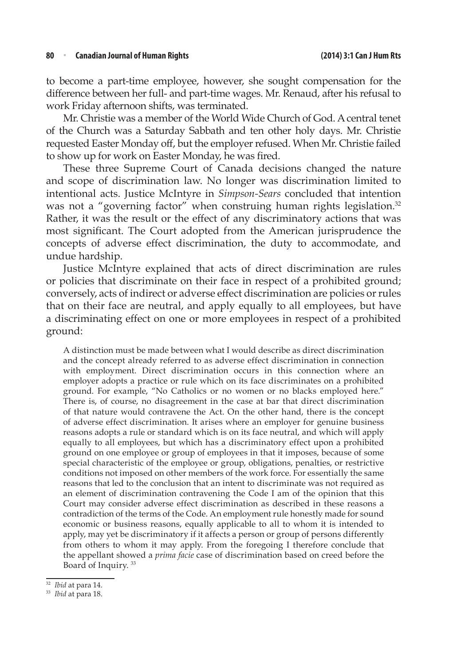to become a part-time employee, however, she sought compensation for the difference between her full- and part-time wages. Mr. Renaud, after his refusal to work Friday afternoon shifts, was terminated.

Mr. Christie was a member of the World Wide Church of God. A central tenet of the Church was a Saturday Sabbath and ten other holy days. Mr. Christie requested Easter Monday off, but the employer refused. When Mr. Christie failed to show up for work on Easter Monday, he was fired.

These three Supreme Court of Canada decisions changed the nature and scope of discrimination law. No longer was discrimination limited to intentional acts. Justice McIntyre in *Simpson-Sears* concluded that intention was not a "governing factor" when construing human rights legislation.<sup>32</sup> Rather, it was the result or the effect of any discriminatory actions that was most significant. The Court adopted from the American jurisprudence the concepts of adverse effect discrimination, the duty to accommodate, and undue hardship.

Justice McIntyre explained that acts of direct discrimination are rules or policies that discriminate on their face in respect of a prohibited ground; conversely, acts of indirect or adverse effect discrimination are policies or rules that on their face are neutral, and apply equally to all employees, but have a discriminating effect on one or more employees in respect of a prohibited ground:

A distinction must be made between what I would describe as direct discrimination and the concept already referred to as adverse effect discrimination in connection with employment. Direct discrimination occurs in this connection where an employer adopts a practice or rule which on its face discriminates on a prohibited ground. For example, "No Catholics or no women or no blacks employed here." There is, of course, no disagreement in the case at bar that direct discrimination of that nature would contravene the Act. On the other hand, there is the concept of adverse effect discrimination. It arises where an employer for genuine business reasons adopts a rule or standard which is on its face neutral, and which will apply equally to all employees, but which has a discriminatory effect upon a prohibited ground on one employee or group of employees in that it imposes, because of some special characteristic of the employee or group, obligations, penalties, or restrictive conditions not imposed on other members of the work force. For essentially the same reasons that led to the conclusion that an intent to discriminate was not required as an element of discrimination contravening the Code I am of the opinion that this Court may consider adverse effect discrimination as described in these reasons a contradiction of the terms of the Code. An employment rule honestly made for sound economic or business reasons, equally applicable to all to whom it is intended to apply, may yet be discriminatory if it affects a person or group of persons differently from others to whom it may apply. From the foregoing I therefore conclude that the appellant showed a *prima facie* case of discrimination based on creed before the Board of Inquiry.<sup>33</sup>

<sup>32</sup> *Ibid* at para 14.

<sup>33</sup> *Ibid* at para 18.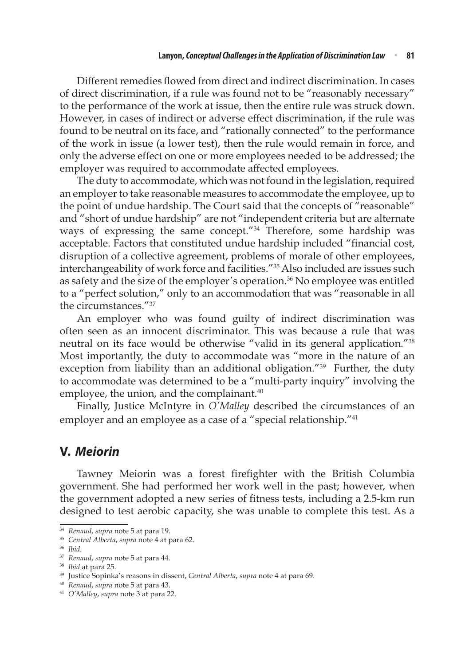Different remedies flowed from direct and indirect discrimination. In cases of direct discrimination, if a rule was found not to be "reasonably necessary" to the performance of the work at issue, then the entire rule was struck down. However, in cases of indirect or adverse effect discrimination, if the rule was found to be neutral on its face, and "rationally connected" to the performance of the work in issue (a lower test), then the rule would remain in force, and only the adverse effect on one or more employees needed to be addressed; the employer was required to accommodate affected employees.

The duty to accommodate, which was not found in the legislation, required an employer to take reasonable measures to accommodate the employee, up to the point of undue hardship. The Court said that the concepts of "reasonable" and "short of undue hardship" are not "independent criteria but are alternate ways of expressing the same concept."34 Therefore, some hardship was acceptable. Factors that constituted undue hardship included "financial cost, disruption of a collective agreement, problems of morale of other employees, interchangeability of work force and facilities."35 Also included are issues such as safety and the size of the employer's operation.<sup>36</sup> No employee was entitled to a "perfect solution," only to an accommodation that was "reasonable in all the circumstances."<sup>37</sup>

An employer who was found guilty of indirect discrimination was often seen as an innocent discriminator. This was because a rule that was neutral on its face would be otherwise "valid in its general application."<sup>38</sup> Most importantly, the duty to accommodate was "more in the nature of an exception from liability than an additional obligation."<sup>39</sup> Further, the duty to accommodate was determined to be a "multi-party inquiry" involving the employee, the union, and the complainant.<sup>40</sup>

Finally, Justice McIntyre in *O'Malley* described the circumstances of an employer and an employee as a case of a "special relationship."<sup>41</sup>

### **V.** *Meiorin*

Tawney Meiorin was a forest firefighter with the British Columbia government. She had performed her work well in the past; however, when the government adopted a new series of fitness tests, including a 2.5-km run designed to test aerobic capacity, she was unable to complete this test. As a

<sup>34</sup> *Renaud*, *supra* note 5 at para 19.

<sup>35</sup> *Central Alberta*, *supra* note 4 at para 62.

<sup>36</sup> *Ibid*.

<sup>37</sup> *Renaud*, *supra* note 5 at para 44.

<sup>38</sup> *Ibid* at para 25.

<sup>39</sup> Justice Sopinka's reasons in dissent, *Central Alberta*, *supra* note 4 at para 69.

<sup>40</sup> *Renaud*, *supra* note 5 at para 43.

<sup>41</sup> *O'Malley*, *supra* note 3 at para 22.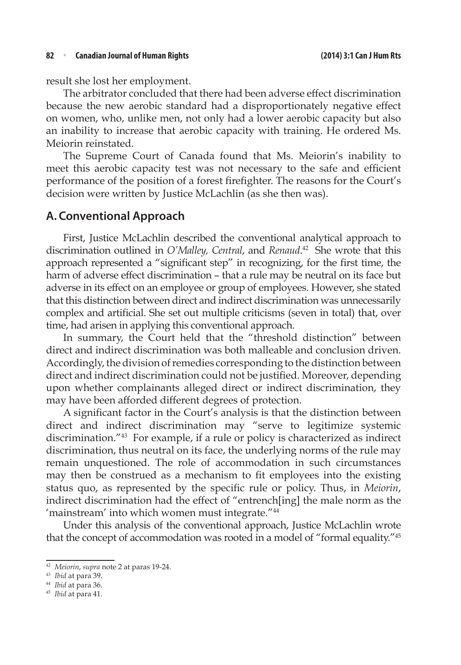result she lost her employment.

The arbitrator concluded that there had been adverse effect discrimination because the new aerobic standard had a disproportionately negative effect on women, who, unlike men, not only had a lower aerobic capacity but also an inability to increase that aerobic capacity with training. He ordered Ms. Meiorin reinstated.

The Supreme Court of Canada found that Ms. Meiorin's inability to meet this aerobic capacity test was not necessary to the safe and efficient performance of the position of a forest firefighter. The reasons for the Court's decision were written by Justice McLachlin (as she then was).

### **A. Conventional Approach**

First, Justice McLachlin described the conventional analytical approach to discrimination outlined in *O'Malley, Central*, and *Renaud*. 42 She wrote that this approach represented a "significant step" in recognizing, for the first time, the harm of adverse effect discrimination – that a rule may be neutral on its face but adverse in its effect on an employee or group of employees. However, she stated that this distinction between direct and indirect discrimination was unnecessarily complex and artificial. She set out multiple criticisms (seven in total) that, over time, had arisen in applying this conventional approach.

In summary, the Court held that the "threshold distinction" between direct and indirect discrimination was both malleable and conclusion driven. Accordingly, the division of remedies corresponding to the distinction between direct and indirect discrimination could not be justified. Moreover, depending upon whether complainants alleged direct or indirect discrimination, they may have been afforded different degrees of protection.

A significant factor in the Court's analysis is that the distinction between direct and indirect discrimination may "serve to legitimize systemic discrimination."43 For example, if a rule or policy is characterized as indirect discrimination, thus neutral on its face, the underlying norms of the rule may remain unquestioned. The role of accommodation in such circumstances may then be construed as a mechanism to fit employees into the existing status quo, as represented by the specific rule or policy. Thus, in *Meiorin*, indirect discrimination had the effect of "entrench[ing] the male norm as the 'mainstream' into which women must integrate."<sup>44</sup>

Under this analysis of the conventional approach, Justice McLachlin wrote that the concept of accommodation was rooted in a model of "formal equality."<sup>45</sup>

<sup>42</sup> *Meiorin*, *supra* note 2 at paras 19-24.

<sup>43</sup> *Ibid* at para 39.

<sup>44</sup> *Ibid* at para 36.

<sup>45</sup> *Ibid* at para 41.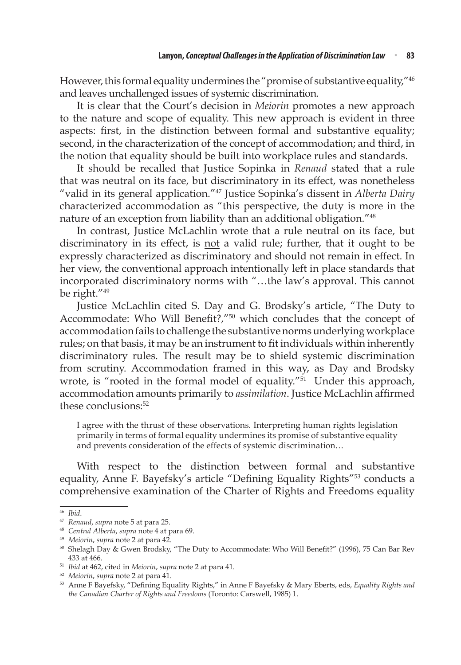However, this formal equality undermines the "promise of substantive equality,"<sup>46</sup> and leaves unchallenged issues of systemic discrimination.

It is clear that the Court's decision in *Meiorin* promotes a new approach to the nature and scope of equality. This new approach is evident in three aspects: first, in the distinction between formal and substantive equality; second, in the characterization of the concept of accommodation; and third, in the notion that equality should be built into workplace rules and standards.

It should be recalled that Justice Sopinka in *Renaud* stated that a rule that was neutral on its face, but discriminatory in its effect, was nonetheless "valid in its general application."47 Justice Sopinka's dissent in *Alberta Dairy* characterized accommodation as "this perspective, the duty is more in the nature of an exception from liability than an additional obligation."<sup>48</sup>

In contrast, Justice McLachlin wrote that a rule neutral on its face, but discriminatory in its effect, is not a valid rule; further, that it ought to be expressly characterized as discriminatory and should not remain in effect. In her view, the conventional approach intentionally left in place standards that incorporated discriminatory norms with "…the law's approval. This cannot be right."<sup>49</sup>

Justice McLachlin cited S. Day and G. Brodsky's article, "The Duty to Accommodate: Who Will Benefit?,"50 which concludes that the concept of accommodation fails to challenge the substantive norms underlying workplace rules; on that basis, it may be an instrument to fit individuals within inherently discriminatory rules. The result may be to shield systemic discrimination from scrutiny. Accommodation framed in this way, as Day and Brodsky wrote, is "rooted in the formal model of equality."<sup>51</sup> Under this approach, accommodation amounts primarily to *assimilation*. Justice McLachlin affirmed these conclusions:52

I agree with the thrust of these observations. Interpreting human rights legislation primarily in terms of formal equality undermines its promise of substantive equality and prevents consideration of the effects of systemic discrimination…

With respect to the distinction between formal and substantive equality, Anne F. Bayefsky's article "Defining Equality Rights"<sup>53</sup> conducts a comprehensive examination of the Charter of Rights and Freedoms equality

<sup>46</sup> *Ibid*.

<sup>47</sup> *Renaud*, *supra* note 5 at para 25.

<sup>48</sup> *Central Alberta*, *supra* note 4 at para 69.

<sup>49</sup> *Meiorin*, *supra* note 2 at para 42.

<sup>50</sup> Shelagh Day & Gwen Brodsky, "The Duty to Accommodate: Who Will Benefit?" (1996), 75 Can Bar Rev 433 at 466.

<sup>51</sup> *Ibid* at 462, cited in *Meiorin*, *supra* note 2 at para 41.

<sup>52</sup> *Meiorin*, *supra* note 2 at para 41.

<sup>53</sup> Anne F Bayefsky, "Defining Equality Rights," in Anne F Bayefsky & Mary Eberts, eds, *Equality Rights and the Canadian Charter of Rights and Freedoms* (Toronto: Carswell, 1985) 1.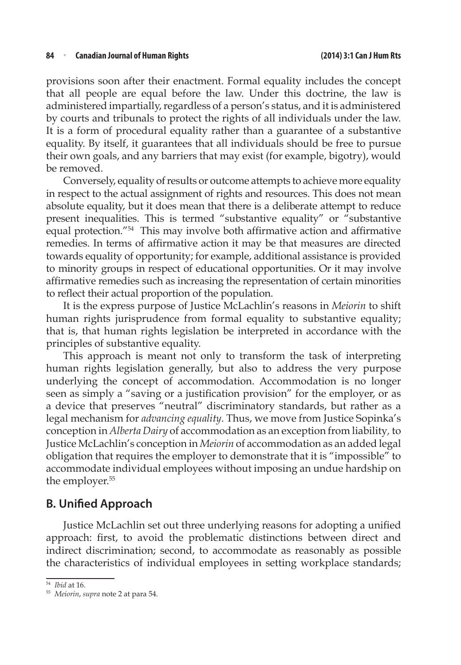provisions soon after their enactment. Formal equality includes the concept that all people are equal before the law. Under this doctrine, the law is administered impartially, regardless of a person's status, and it is administered by courts and tribunals to protect the rights of all individuals under the law. It is a form of procedural equality rather than a guarantee of a substantive equality. By itself, it guarantees that all individuals should be free to pursue their own goals, and any barriers that may exist (for example, bigotry), would be removed.

Conversely, equality of results or outcome attempts to achieve more equality in respect to the actual assignment of rights and resources. This does not mean absolute equality, but it does mean that there is a deliberate attempt to reduce present inequalities. This is termed "substantive equality" or "substantive equal protection."<sup>54</sup> This may involve both affirmative action and affirmative remedies. In terms of affirmative action it may be that measures are directed towards equality of opportunity; for example, additional assistance is provided to minority groups in respect of educational opportunities. Or it may involve affirmative remedies such as increasing the representation of certain minorities to reflect their actual proportion of the population.

It is the express purpose of Justice McLachlin's reasons in *Meiorin* to shift human rights jurisprudence from formal equality to substantive equality; that is, that human rights legislation be interpreted in accordance with the principles of substantive equality.

This approach is meant not only to transform the task of interpreting human rights legislation generally, but also to address the very purpose underlying the concept of accommodation. Accommodation is no longer seen as simply a "saving or a justification provision" for the employer, or as a device that preserves "neutral" discriminatory standards, but rather as a legal mechanism for *advancing equality*. Thus, we move from Justice Sopinka's conception in *Alberta Dairy* of accommodation as an exception from liability*,* to Justice McLachlin's conception in *Meiorin* of accommodation as an added legal obligation that requires the employer to demonstrate that it is "impossible" to accommodate individual employees without imposing an undue hardship on the employer.<sup>55</sup>

### **B. Unified Approach**

Justice McLachlin set out three underlying reasons for adopting a unified approach: first, to avoid the problematic distinctions between direct and indirect discrimination; second, to accommodate as reasonably as possible the characteristics of individual employees in setting workplace standards;

<sup>54</sup> *Ibid* at 16.

<sup>55</sup> *Meiorin*, *supra* note 2 at para 54.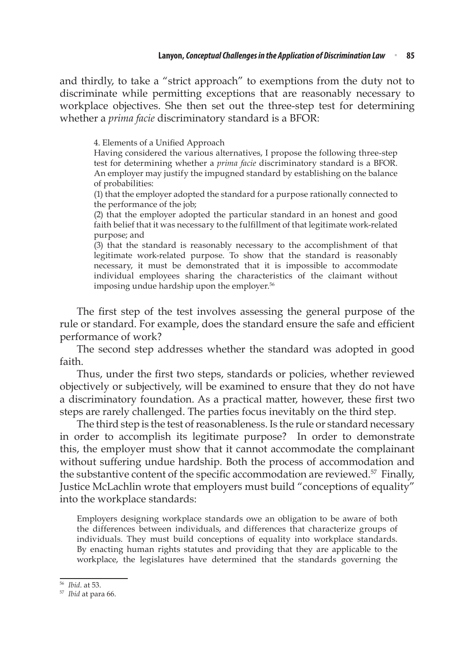and thirdly, to take a "strict approach" to exemptions from the duty not to discriminate while permitting exceptions that are reasonably necessary to workplace objectives. She then set out the three-step test for determining whether a *prima facie* discriminatory standard is a BFOR:

4. Elements of a Unified Approach

Having considered the various alternatives, I propose the following three-step test for determining whether a *prima facie* discriminatory standard is a BFOR. An employer may justify the impugned standard by establishing on the balance of probabilities:

(1) that the employer adopted the standard for a purpose rationally connected to the performance of the job;

(2) that the employer adopted the particular standard in an honest and good faith belief that it was necessary to the fulfillment of that legitimate work-related purpose; and

(3) that the standard is reasonably necessary to the accomplishment of that legitimate work-related purpose. To show that the standard is reasonably necessary, it must be demonstrated that it is impossible to accommodate individual employees sharing the characteristics of the claimant without imposing undue hardship upon the employer.<sup>56</sup>

The first step of the test involves assessing the general purpose of the rule or standard. For example, does the standard ensure the safe and efficient performance of work?

The second step addresses whether the standard was adopted in good faith.

Thus, under the first two steps, standards or policies, whether reviewed objectively or subjectively, will be examined to ensure that they do not have a discriminatory foundation. As a practical matter, however, these first two steps are rarely challenged. The parties focus inevitably on the third step.

The third step is the test of reasonableness. Is the rule or standard necessary in order to accomplish its legitimate purpose? In order to demonstrate this, the employer must show that it cannot accommodate the complainant without suffering undue hardship. Both the process of accommodation and the substantive content of the specific accommodation are reviewed.<sup>57</sup> Finally, Justice McLachlin wrote that employers must build "conceptions of equality" into the workplace standards:

Employers designing workplace standards owe an obligation to be aware of both the differences between individuals, and differences that characterize groups of individuals. They must build conceptions of equality into workplace standards. By enacting human rights statutes and providing that they are applicable to the workplace, the legislatures have determined that the standards governing the

<sup>56</sup> *Ibid*. at 53.

<sup>57</sup> *Ibid* at para 66.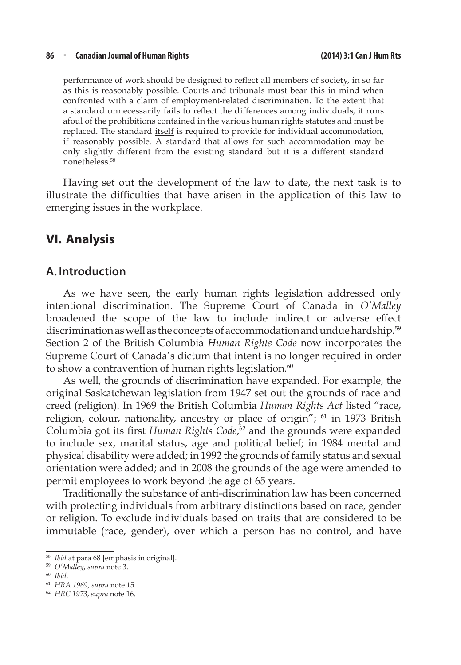#### **86** <sup>n</sup> **Canadian Journal of Human Rights (2014) 3:1 Can J Hum Rts**

performance of work should be designed to reflect all members of society, in so far as this is reasonably possible. Courts and tribunals must bear this in mind when confronted with a claim of employment-related discrimination. To the extent that a standard unnecessarily fails to reflect the differences among individuals, it runs afoul of the prohibitions contained in the various human rights statutes and must be replaced. The standard itself is required to provide for individual accommodation, if reasonably possible. A standard that allows for such accommodation may be only slightly different from the existing standard but it is a different standard nonetheless.58

Having set out the development of the law to date, the next task is to illustrate the difficulties that have arisen in the application of this law to emerging issues in the workplace.

### **VI. Analysis**

### **A. Introduction**

As we have seen, the early human rights legislation addressed only intentional discrimination. The Supreme Court of Canada in *O'Malley*  broadened the scope of the law to include indirect or adverse effect discrimination as well as the concepts of accommodation and undue hardship.<sup>59</sup> Section 2 of the British Columbia *Human Rights Code* now incorporates the Supreme Court of Canada's dictum that intent is no longer required in order to show a contravention of human rights legislation. $60$ 

As well, the grounds of discrimination have expanded. For example, the original Saskatchewan legislation from 1947 set out the grounds of race and creed (religion). In 1969 the British Columbia *Human Rights Act* listed "race, religion, colour, nationality, ancestry or place of origin"; <sup>61</sup> in 1973 British Columbia got its first *Human Rights Code*,<sup>62</sup> and the grounds were expanded to include sex, marital status, age and political belief; in 1984 mental and physical disability were added; in 1992 the grounds of family status and sexual orientation were added; and in 2008 the grounds of the age were amended to permit employees to work beyond the age of 65 years.

Traditionally the substance of anti-discrimination law has been concerned with protecting individuals from arbitrary distinctions based on race, gender or religion. To exclude individuals based on traits that are considered to be immutable (race, gender), over which a person has no control, and have

<sup>58</sup> *Ibid* at para 68 [emphasis in original].

<sup>59</sup> *O'Malley*, *supra* note 3.

<sup>60</sup> *Ibid*.

<sup>61</sup> *HRA 1969*, *supra* note 15.

<sup>62</sup> *HRC 1973*, *supra* note 16.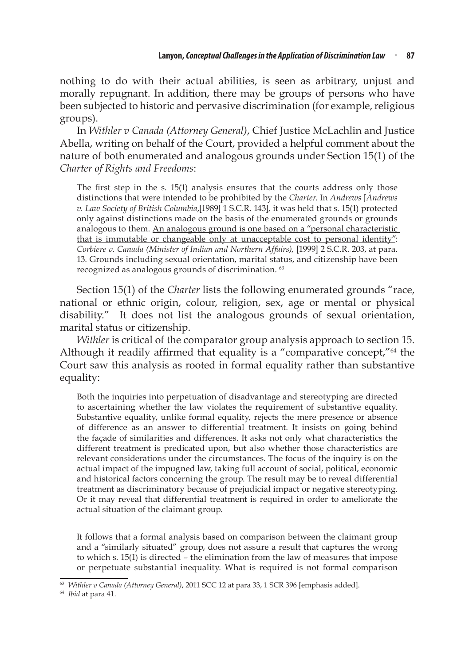nothing to do with their actual abilities, is seen as arbitrary, unjust and morally repugnant. In addition, there may be groups of persons who have been subjected to historic and pervasive discrimination (for example, religious groups).

In *Withler v Canada (Attorney General)*, Chief Justice McLachlin and Justice Abella, writing on behalf of the Court, provided a helpful comment about the nature of both enumerated and analogous grounds under Section 15(1) of the *Charter of Rights and Freedoms*:

The first step in the s. 15(1) analysis ensures that the courts address only those distinctions that were intended to be prohibited by the *Charter*. In *Andrews* [*Andrews v. Law Society of British Columbia*,[1989] 1 S.C.R. 143]*,* it was held that s. 15(1) protected only against distinctions made on the basis of the enumerated grounds or grounds analogous to them. An analogous ground is one based on a "personal characteristic that is immutable or changeable only at unacceptable cost to personal identity": *Corbiere v. Canada (Minister of Indian and Northern Affairs),* [1999] 2 S.C.R. 203, at para. 13. Grounds including sexual orientation, marital status, and citizenship have been recognized as analogous grounds of discrimination. 63

Section 15(1) of the *Charter* lists the following enumerated grounds "race, national or ethnic origin, colour, religion, sex, age or mental or physical disability." It does not list the analogous grounds of sexual orientation, marital status or citizenship.

*Withler* is critical of the comparator group analysis approach to section 15. Although it readily affirmed that equality is a "comparative concept,"64 the Court saw this analysis as rooted in formal equality rather than substantive equality:

Both the inquiries into perpetuation of disadvantage and stereotyping are directed to ascertaining whether the law violates the requirement of substantive equality. Substantive equality, unlike formal equality, rejects the mere presence or absence of difference as an answer to differential treatment. It insists on going behind the façade of similarities and differences. It asks not only what characteristics the different treatment is predicated upon, but also whether those characteristics are relevant considerations under the circumstances. The focus of the inquiry is on the actual impact of the impugned law, taking full account of social, political, economic and historical factors concerning the group. The result may be to reveal differential treatment as discriminatory because of prejudicial impact or negative stereotyping. Or it may reveal that differential treatment is required in order to ameliorate the actual situation of the claimant group.

It follows that a formal analysis based on comparison between the claimant group and a "similarly situated" group, does not assure a result that captures the wrong to which s. 15(1) is directed – the elimination from the law of measures that impose or perpetuate substantial inequality. What is required is not formal comparison

<sup>63</sup> *Withler v Canada (Attorney General)*, 2011 SCC 12 at para 33, 1 SCR 396 [emphasis added].

<sup>64</sup> *Ibid* at para 41.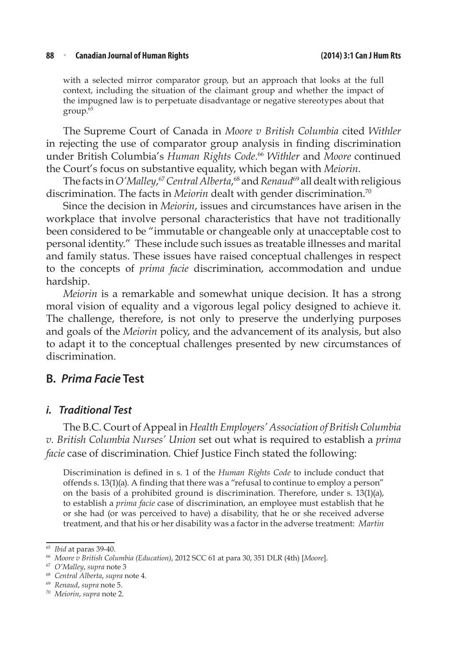#### **88** <sup>n</sup> **Canadian Journal of Human Rights (2014) 3:1 Can J Hum Rts**

with a selected mirror comparator group, but an approach that looks at the full context, including the situation of the claimant group and whether the impact of the impugned law is to perpetuate disadvantage or negative stereotypes about that group.65

The Supreme Court of Canada in *Moore v British Columbia* cited *Withler* in rejecting the use of comparator group analysis in finding discrimination under British Columbia's *Human Rights Code*. <sup>66</sup> *Withler* and *Moore* continued the Court's focus on substantive equality, which began with *Meiorin.*

The facts in *O'Malley*, <sup>67</sup> *Central Alberta*, 68 and *Renaud*69 all dealt with religious discrimination. The facts in *Meiorin* dealt with gender discrimination.70

Since the decision in *Meiorin*, issues and circumstances have arisen in the workplace that involve personal characteristics that have not traditionally been considered to be "immutable or changeable only at unacceptable cost to personal identity." These include such issues as treatable illnesses and marital and family status. These issues have raised conceptual challenges in respect to the concepts of *prima facie* discrimination, accommodation and undue hardship.

*Meiorin* is a remarkable and somewhat unique decision. It has a strong moral vision of equality and a vigorous legal policy designed to achieve it. The challenge, therefore, is not only to preserve the underlying purposes and goals of the *Meiorin* policy, and the advancement of its analysis, but also to adapt it to the conceptual challenges presented by new circumstances of discrimination.

### **B.** *Prima Facie* **Test**

#### *i. Traditional Test*

The B.C. Court of Appeal in *Health Employers' Association of British Columbia v. British Columbia Nurses' Union* set out what is required to establish a *prima facie* case of discrimination*.* Chief Justice Finch stated the following:

Discrimination is defined in s. 1 of the *Human Rights Code* to include conduct that offends s. 13(1)(a). A finding that there was a "refusal to continue to employ a person" on the basis of a prohibited ground is discrimination. Therefore, under s. 13(1)(a), to establish a *prima facie* case of discrimination, an employee must establish that he or she had (or was perceived to have) a disability, that he or she received adverse treatment, and that his or her disability was a factor in the adverse treatment: *Martin* 

<sup>65</sup> *Ibid* at paras 39-40.

<sup>66</sup> *Moore v British Columbia (Education)*, 2012 SCC 61 at para 30, 351 DLR (4th) [*Moore*].

<sup>67</sup> *O'Malley*, *supra* note 3

<sup>68</sup> *Central Alberta*, *supra* note 4.

<sup>69</sup> *Renaud*, *supra* note 5.

<sup>70</sup> *Meiorin*, *supra* note 2.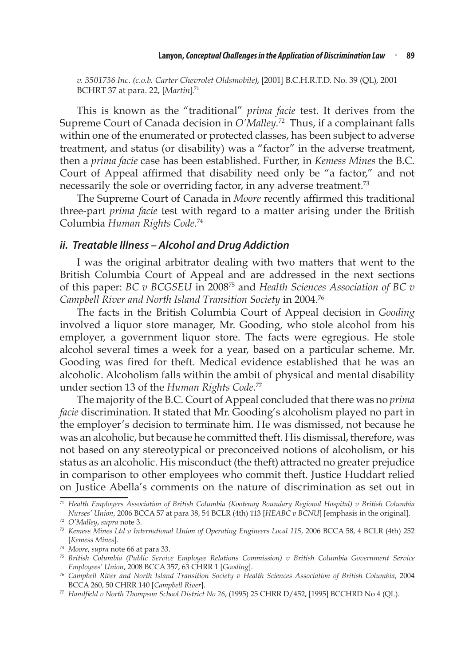*v. 3501736 Inc. (c.o.b. Carter Chevrolet Oldsmobile)*, [2001] B.C.H.R.T.D. No. 39 (QL), 2001 BCHRT 37 at para. 22, [Martin].<sup>71</sup>

This is known as the "traditional" *prima facie* test. It derives from the Supreme Court of Canada decision in *O'Malley.*72 Thus, if a complainant falls within one of the enumerated or protected classes, has been subject to adverse treatment, and status (or disability) was a "factor" in the adverse treatment, then a *prima facie* case has been established. Further, in *Kemess Mines* the B.C. Court of Appeal affirmed that disability need only be "a factor," and not necessarily the sole or overriding factor, in any adverse treatment.<sup>73</sup>

The Supreme Court of Canada in *Moore* recently affirmed this traditional three-part *prima facie* test with regard to a matter arising under the British Columbia *Human Rights Code*. 74

#### *ii. Treatable Illness – Alcohol and Drug Addiction*

I was the original arbitrator dealing with two matters that went to the British Columbia Court of Appeal and are addressed in the next sections of this paper: *BC v BCGSEU* in 200875 and *Health Sciences Association of BC v Campbell River and North Island Transition Society* in 2004.76

The facts in the British Columbia Court of Appeal decision in *Gooding* involved a liquor store manager, Mr. Gooding, who stole alcohol from his employer, a government liquor store. The facts were egregious. He stole alcohol several times a week for a year, based on a particular scheme. Mr. Gooding was fired for theft. Medical evidence established that he was an alcoholic. Alcoholism falls within the ambit of physical and mental disability under section 13 of the *Human Rights Code.*77

The majority of the B.C. Court of Appeal concluded that there was no *prima facie* discrimination. It stated that Mr. Gooding's alcoholism played no part in the employer's decision to terminate him. He was dismissed, not because he was an alcoholic, but because he committed theft. His dismissal, therefore, was not based on any stereotypical or preconceived notions of alcoholism, or his status as an alcoholic. His misconduct (the theft) attracted no greater prejudice in comparison to other employees who commit theft. Justice Huddart relied on Justice Abella's comments on the nature of discrimination as set out in

<sup>71</sup> *Health Employers Association of British Columbia (Kootenay Boundary Regional Hospital) v British Columbia Nurses' Union*, 2006 BCCA 57 at para 38, 54 BCLR (4th) 113 [*HEABC v BCNU*] [emphasis in the original].

<sup>72</sup> *O'Malley*, *supra* note 3.

<sup>73</sup> *Kemess Mines Ltd v International Union of Operating Engineers Local 115*, 2006 BCCA 58, 4 BCLR (4th) 252 [*Kemess Mines*].

<sup>74</sup> *Moore*, *supra* note 66 at para 33.

<sup>75</sup> *British Columbia (Public Service Employee Relations Commission) v British Columbia Government Service Employees' Union*, 2008 BCCA 357, 63 CHRR 1 [*Gooding*].

<sup>76</sup> *Campbell River and North Island Transition Society v Health Sciences Association of British Columbia*, 2004 BCCA 260, 50 CHRR 140 [*Campbell River*].

<sup>77</sup> *Handfield v North Thompson School District No 26*, (1995) 25 CHRR D/452, [1995] BCCHRD No 4 (QL).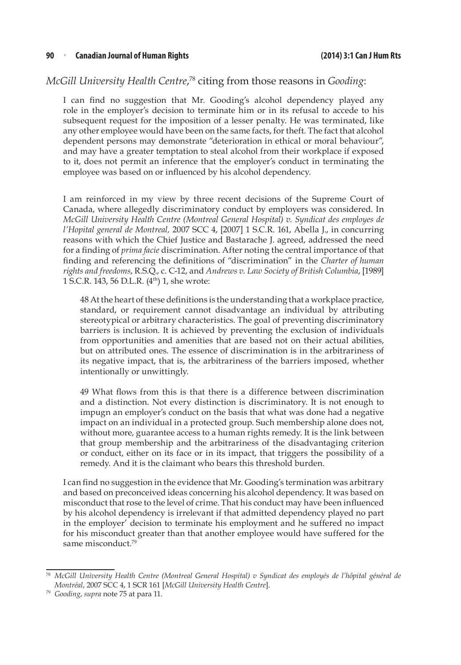#### *McGill University Health Centre*, 78 citing from those reasons in *Gooding*:

I can find no suggestion that Mr. Gooding's alcohol dependency played any role in the employer's decision to terminate him or in its refusal to accede to his subsequent request for the imposition of a lesser penalty. He was terminated, like any other employee would have been on the same facts, for theft. The fact that alcohol dependent persons may demonstrate "deterioration in ethical or moral behaviour", and may have a greater temptation to steal alcohol from their workplace if exposed to it, does not permit an inference that the employer's conduct in terminating the employee was based on or influenced by his alcohol dependency.

I am reinforced in my view by three recent decisions of the Supreme Court of Canada, where allegedly discriminatory conduct by employers was considered. In *McGill University Health Centre (Montreal General Hospital) v. Syndicat des employes de l'Hopital general de Montreal,* 2007 SCC 4, [2007] 1 S.C.R. 161, Abella J., in concurring reasons with which the Chief Justice and Bastarache J. agreed, addressed the need for a finding of *prima facie* discrimination. After noting the central importance of that finding and referencing the definitions of "discrimination" in the *Charter of human rights and freedoms*, R.S.Q., c. C-12, and *Andrews v. Law Society of British Columbia*, [1989] 1 S.C.R. 143, 56 D.L.R. (4th) 1, she wrote:

48 At the heart of these definitions is the understanding that a workplace practice, standard, or requirement cannot disadvantage an individual by attributing stereotypical or arbitrary characteristics. The goal of preventing discriminatory barriers is inclusion. It is achieved by preventing the exclusion of individuals from opportunities and amenities that are based not on their actual abilities, but on attributed ones. The essence of discrimination is in the arbitrariness of its negative impact, that is, the arbitrariness of the barriers imposed, whether intentionally or unwittingly.

49 What flows from this is that there is a difference between discrimination and a distinction. Not every distinction is discriminatory. It is not enough to impugn an employer's conduct on the basis that what was done had a negative impact on an individual in a protected group. Such membership alone does not, without more, guarantee access to a human rights remedy. It is the link between that group membership and the arbitrariness of the disadvantaging criterion or conduct, either on its face or in its impact, that triggers the possibility of a remedy. And it is the claimant who bears this threshold burden.

I can find no suggestion in the evidence that Mr. Gooding's termination was arbitrary and based on preconceived ideas concerning his alcohol dependency. It was based on misconduct that rose to the level of crime. That his conduct may have been influenced by his alcohol dependency is irrelevant if that admitted dependency played no part in the employer' decision to terminate his employment and he suffered no impact for his misconduct greater than that another employee would have suffered for the same misconduct.<sup>79</sup>

<sup>78</sup> *McGill University Health Centre (Montreal General Hospital) v Syndicat des employés de l'hôpital général de Montréal*, 2007 SCC 4, 1 SCR 161 [*McGill University Health Centre*].

<sup>79</sup> *Gooding*, *supra* note 75 at para 11.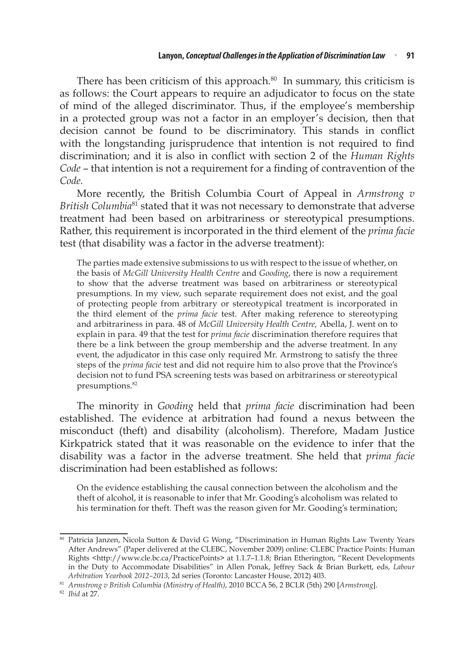There has been criticism of this approach. $80$  In summary, this criticism is as follows: the Court appears to require an adjudicator to focus on the state of mind of the alleged discriminator. Thus, if the employee's membership in a protected group was not a factor in an employer's decision, then that decision cannot be found to be discriminatory. This stands in conflict with the longstanding jurisprudence that intention is not required to find discrimination; and it is also in conflict with section 2 of the *Human Rights Code* – that intention is not a requirement for a finding of contravention of the *Code.* 

More recently, the British Columbia Court of Appeal in *Armstrong v British Columbia*81 stated that it was not necessary to demonstrate that adverse treatment had been based on arbitrariness or stereotypical presumptions. Rather, this requirement is incorporated in the third element of the *prima facie*  test (that disability was a factor in the adverse treatment):

The parties made extensive submissions to us with respect to the issue of whether, on the basis of *McGill University Health Centre* and *Gooding*, there is now a requirement to show that the adverse treatment was based on arbitrariness or stereotypical presumptions. In my view, such separate requirement does not exist, and the goal of protecting people from arbitrary or stereotypical treatment is incorporated in the third element of the *prima facie* test. After making reference to stereotyping and arbitrariness in para. 48 of *McGill University Health Centre,* Abella, J. went on to explain in para. 49 that the test for *prima facie* discrimination therefore requires that there be a link between the group membership and the adverse treatment. In any event, the adjudicator in this case only required Mr. Armstrong to satisfy the three steps of the *prima facie* test and did not require him to also prove that the Province's decision not to fund PSA screening tests was based on arbitrariness or stereotypical presumptions.<sup>82</sup>

The minority in *Gooding* held that *prima facie* discrimination had been established. The evidence at arbitration had found a nexus between the misconduct (theft) and disability (alcoholism). Therefore, Madam Justice Kirkpatrick stated that it was reasonable on the evidence to infer that the disability was a factor in the adverse treatment. She held that *prima facie* discrimination had been established as follows:

On the evidence establishing the causal connection between the alcoholism and the theft of alcohol, it is reasonable to infer that Mr. Gooding's alcoholism was related to his termination for theft. Theft was the reason given for Mr. Gooding's termination;

<sup>80</sup> Patricia Janzen, Nicola Sutton & David G Wong, "Discrimination in Human Rights Law Twenty Years After Andrews" (Paper delivered at the CLEBC, November 2009) online: CLEBC Practice Points: Human Rights <http://www.cle.bc.ca/PracticePoints> at 1.1.7–1.1.8; Brian Etherington, "Recent Developments in the Duty to Accommodate Disabilities" in Allen Ponak, Jeffrey Sack & Brian Burkett, eds, *Labour Arbitration Yearbook 2012–2013*, 2d series (Toronto: Lancaster House, 2012) 403.

<sup>81</sup> *Armstrong v British Columbia (Ministry of Health)*, 2010 BCCA 56, 2 BCLR (5th) 290 [*Armstrong*].

<sup>82</sup> *Ibid* at 27.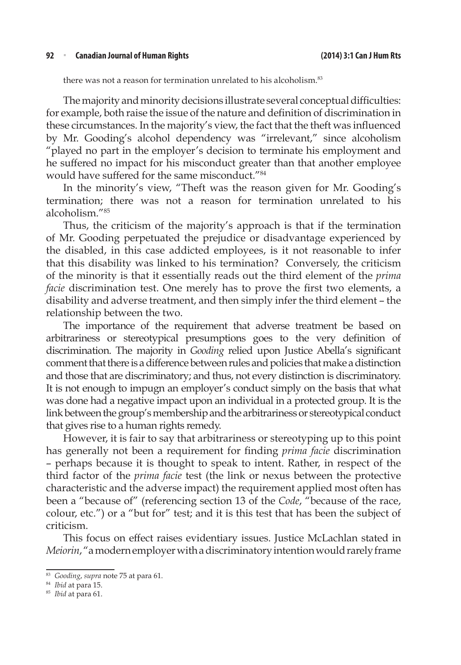#### **92** <sup>n</sup> **Canadian Journal of Human Rights (2014) 3:1 Can J Hum Rts**

there was not a reason for termination unrelated to his alcoholism.<sup>83</sup>

The majority and minority decisions illustrate several conceptual difficulties: for example, both raise the issue of the nature and definition of discrimination in these circumstances. In the majority's view, the fact that the theft was influenced by Mr. Gooding's alcohol dependency was "irrelevant," since alcoholism "played no part in the employer's decision to terminate his employment and he suffered no impact for his misconduct greater than that another employee would have suffered for the same misconduct."<sup>84</sup>

In the minority's view, "Theft was the reason given for Mr. Gooding's termination; there was not a reason for termination unrelated to his alcoholism."85

Thus, the criticism of the majority's approach is that if the termination of Mr. Gooding perpetuated the prejudice or disadvantage experienced by the disabled, in this case addicted employees, is it not reasonable to infer that this disability was linked to his termination? Conversely, the criticism of the minority is that it essentially reads out the third element of the *prima facie* discrimination test. One merely has to prove the first two elements, a disability and adverse treatment, and then simply infer the third element – the relationship between the two.

The importance of the requirement that adverse treatment be based on arbitrariness or stereotypical presumptions goes to the very definition of discrimination. The majority in *Gooding* relied upon Justice Abella's significant comment that there is a difference between rules and policies that make a distinction and those that are discriminatory; and thus, not every distinction is discriminatory. It is not enough to impugn an employer's conduct simply on the basis that what was done had a negative impact upon an individual in a protected group. It is the link between the group's membership and the arbitrariness or stereotypical conduct that gives rise to a human rights remedy.

However, it is fair to say that arbitrariness or stereotyping up to this point has generally not been a requirement for finding *prima facie* discrimination – perhaps because it is thought to speak to intent. Rather, in respect of the third factor of the *prima facie* test (the link or nexus between the protective characteristic and the adverse impact) the requirement applied most often has been a "because of" (referencing section 13 of the *Code*, "because of the race, colour, etc.") or a "but for" test; and it is this test that has been the subject of criticism.

This focus on effect raises evidentiary issues. Justice McLachlan stated in *Meiorin*, "a modern employer with a discriminatory intention would rarely frame

<sup>83</sup> *Gooding*, *supra* note 75 at para 61.

<sup>84</sup> *Ibid* at para 15.

<sup>85</sup> *Ibid* at para 61.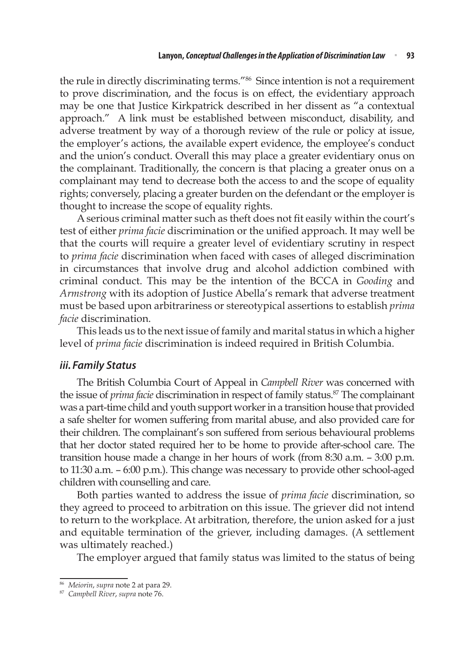the rule in directly discriminating terms."<sup>86</sup> Since intention is not a requirement to prove discrimination, and the focus is on effect, the evidentiary approach may be one that Justice Kirkpatrick described in her dissent as "a contextual approach." A link must be established between misconduct, disability, and adverse treatment by way of a thorough review of the rule or policy at issue, the employer's actions, the available expert evidence, the employee's conduct and the union's conduct. Overall this may place a greater evidentiary onus on the complainant. Traditionally, the concern is that placing a greater onus on a complainant may tend to decrease both the access to and the scope of equality rights; conversely, placing a greater burden on the defendant or the employer is thought to increase the scope of equality rights.

A serious criminal matter such as theft does not fit easily within the court's test of either *prima facie* discrimination or the unified approach. It may well be that the courts will require a greater level of evidentiary scrutiny in respect to *prima facie* discrimination when faced with cases of alleged discrimination in circumstances that involve drug and alcohol addiction combined with criminal conduct. This may be the intention of the BCCA in *Gooding* and *Armstrong* with its adoption of Justice Abella's remark that adverse treatment must be based upon arbitrariness or stereotypical assertions to establish *prima facie* discrimination.

This leads us to the next issue of family and marital status in which a higher level of *prima facie* discrimination is indeed required in British Columbia.

#### *iii. Family Status*

The British Columbia Court of Appeal in *Campbell River* was concerned with the issue of *prima facie* discrimination in respect of family status.<sup>87</sup> The complainant was a part-time child and youth support worker in a transition house that provided a safe shelter for women suffering from marital abuse, and also provided care for their children. The complainant's son suffered from serious behavioural problems that her doctor stated required her to be home to provide after-school care. The transition house made a change in her hours of work (from 8:30 a.m. – 3:00 p.m. to 11:30 a.m. – 6:00 p.m.). This change was necessary to provide other school-aged children with counselling and care.

Both parties wanted to address the issue of *prima facie* discrimination, so they agreed to proceed to arbitration on this issue. The griever did not intend to return to the workplace. At arbitration, therefore, the union asked for a just and equitable termination of the griever, including damages. (A settlement was ultimately reached.)

The employer argued that family status was limited to the status of being

<sup>86</sup> *Meiorin*, *supra* note 2 at para 29.

<sup>87</sup> *Campbell River*, *supra* note 76.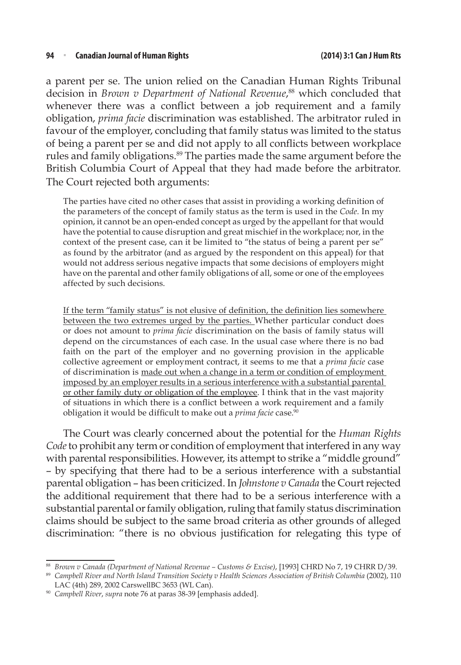a parent per se. The union relied on the Canadian Human Rights Tribunal decision in *Brown v Department of National Revenue*, 88 which concluded that whenever there was a conflict between a job requirement and a family obligation, *prima facie* discrimination was established. The arbitrator ruled in favour of the employer, concluding that family status was limited to the status of being a parent per se and did not apply to all conflicts between workplace rules and family obligations.<sup>89</sup> The parties made the same argument before the British Columbia Court of Appeal that they had made before the arbitrator. The Court rejected both arguments:

The parties have cited no other cases that assist in providing a working definition of the parameters of the concept of family status as the term is used in the *Code.* In my opinion, it cannot be an open-ended concept as urged by the appellant for that would have the potential to cause disruption and great mischief in the workplace; nor, in the context of the present case, can it be limited to "the status of being a parent per se" as found by the arbitrator (and as argued by the respondent on this appeal) for that would not address serious negative impacts that some decisions of employers might have on the parental and other family obligations of all, some or one of the employees affected by such decisions.

If the term "family status" is not elusive of definition, the definition lies somewhere between the two extremes urged by the parties. Whether particular conduct does or does not amount to *prima facie* discrimination on the basis of family status will depend on the circumstances of each case. In the usual case where there is no bad faith on the part of the employer and no governing provision in the applicable collective agreement or employment contract, it seems to me that a *prima facie* case of discrimination is made out when a change in a term or condition of employment imposed by an employer results in a serious interference with a substantial parental or other family duty or obligation of the employee. I think that in the vast majority of situations in which there is a conflict between a work requirement and a family obligation it would be difficult to make out a *prima facie* case.<sup>90</sup>

The Court was clearly concerned about the potential for the *Human Rights Code* to prohibit any term or condition of employment that interfered in any way with parental responsibilities. However, its attempt to strike a "middle ground" – by specifying that there had to be a serious interference with a substantial parental obligation – has been criticized. In *Johnstone v Canada* the Court rejected the additional requirement that there had to be a serious interference with a substantial parental or family obligation, ruling that family status discrimination claims should be subject to the same broad criteria as other grounds of alleged discrimination: "there is no obvious justification for relegating this type of

<sup>89</sup> *Campbell River and North Island Transition Society v Health Sciences Association of British Columbia* (2002), 110 LAC (4th) 289, 2002 CarswellBC 3653 (WL Can).

<sup>88</sup> *Brown v Canada (Department of National Revenue – Customs & Excise)*, [1993] CHRD No 7, 19 CHRR D/39.

<sup>90</sup> *Campbell River*, *supra* note 76 at paras 38-39 [emphasis added].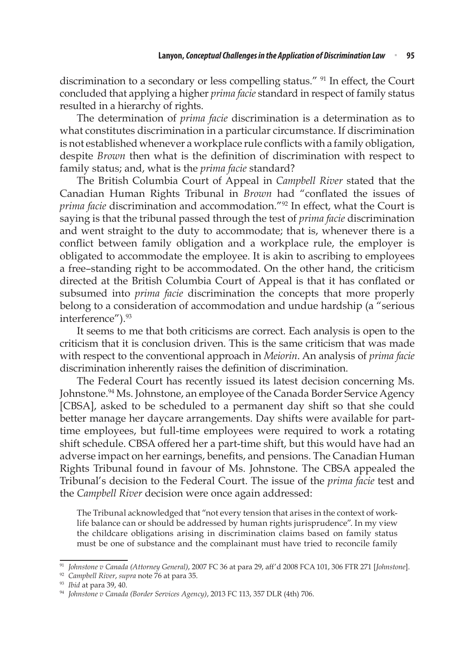discrimination to a secondary or less compelling status." <sup>91</sup> In effect, the Court concluded that applying a higher *prima facie* standard in respect of family status resulted in a hierarchy of rights.

The determination of *prima facie* discrimination is a determination as to what constitutes discrimination in a particular circumstance. If discrimination is not established whenever a workplace rule conflicts with a family obligation, despite *Brown* then what is the definition of discrimination with respect to family status; and, what is the *prima facie* standard?

The British Columbia Court of Appeal in *Campbell River* stated that the Canadian Human Rights Tribunal in *Brown* had "conflated the issues of *prima facie* discrimination and accommodation."92 In effect, what the Court is saying is that the tribunal passed through the test of *prima facie* discrimination and went straight to the duty to accommodate; that is, whenever there is a conflict between family obligation and a workplace rule, the employer is obligated to accommodate the employee. It is akin to ascribing to employees a free–standing right to be accommodated. On the other hand, the criticism directed at the British Columbia Court of Appeal is that it has conflated or subsumed into *prima facie* discrimination the concepts that more properly belong to a consideration of accommodation and undue hardship (a "serious interference").<sup>93</sup>

It seems to me that both criticisms are correct. Each analysis is open to the criticism that it is conclusion driven. This is the same criticism that was made with respect to the conventional approach in *Meiorin*. An analysis of *prima facie*  discrimination inherently raises the definition of discrimination.

The Federal Court has recently issued its latest decision concerning Ms. Johnstone.<sup>94</sup> Ms. Johnstone, an employee of the Canada Border Service Agency [CBSA], asked to be scheduled to a permanent day shift so that she could better manage her daycare arrangements. Day shifts were available for parttime employees, but full-time employees were required to work a rotating shift schedule. CBSA offered her a part-time shift, but this would have had an adverse impact on her earnings, benefits, and pensions. The Canadian Human Rights Tribunal found in favour of Ms. Johnstone. The CBSA appealed the Tribunal's decision to the Federal Court. The issue of the *prima facie* test and the *Campbell River* decision were once again addressed:

The Tribunal acknowledged that "not every tension that arises in the context of worklife balance can or should be addressed by human rights jurisprudence". In my view the childcare obligations arising in discrimination claims based on family status must be one of substance and the complainant must have tried to reconcile family

<sup>91</sup> *Johnstone v Canada (Attorney General)*, 2007 FC 36 at para 29, aff'd 2008 FCA 101, 306 FTR 271 [*Johnstone*].

<sup>92</sup> *Campbell River*, *supra* note 76 at para 35.

<sup>93</sup> *Ibid* at para 39, 40.

<sup>94</sup> *Johnstone v Canada (Border Services Agency)*, 2013 FC 113, 357 DLR (4th) 706.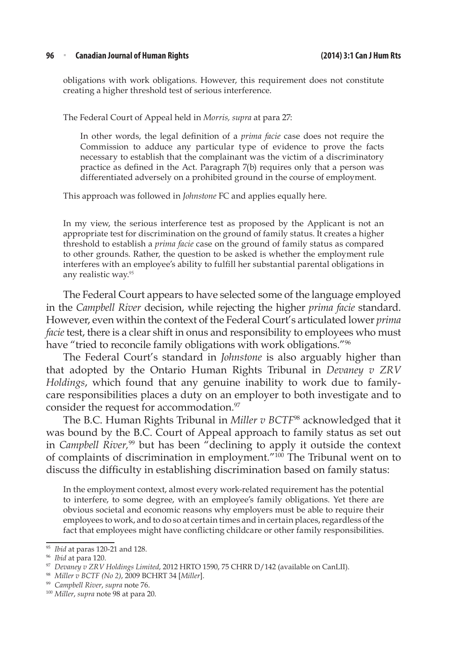#### **96** <sup>n</sup> **Canadian Journal of Human Rights (2014) 3:1 Can J Hum Rts**

obligations with work obligations. However, this requirement does not constitute creating a higher threshold test of serious interference.

The Federal Court of Appeal held in *Morris, supra* at para 27:

In other words, the legal definition of a *prima facie* case does not require the Commission to adduce any particular type of evidence to prove the facts necessary to establish that the complainant was the victim of a discriminatory practice as defined in the Act. Paragraph 7(b) requires only that a person was differentiated adversely on a prohibited ground in the course of employment.

This approach was followed in *Johnstone* FC and applies equally here.

In my view, the serious interference test as proposed by the Applicant is not an appropriate test for discrimination on the ground of family status. It creates a higher threshold to establish a *prima facie* case on the ground of family status as compared to other grounds. Rather, the question to be asked is whether the employment rule interferes with an employee's ability to fulfill her substantial parental obligations in any realistic way.<sup>95</sup>

The Federal Court appears to have selected some of the language employed in the *Campbell River* decision, while rejecting the higher *prima facie* standard. However, even within the context of the Federal Court's articulated lower *prima facie* test, there is a clear shift in onus and responsibility to employees who must have "tried to reconcile family obligations with work obligations."<sup>96</sup>

The Federal Court's standard in *Johnstone* is also arguably higher than that adopted by the Ontario Human Rights Tribunal in *Devaney v ZRV Holdings*, which found that any genuine inability to work due to familycare responsibilities places a duty on an employer to both investigate and to consider the request for accommodation.<sup>97</sup>

The B.C. Human Rights Tribunal in *Miller v BCTF*98 acknowledged that it was bound by the B.C. Court of Appeal approach to family status as set out in *Campbell River*,<sup>99</sup> but has been "declining to apply it outside the context of complaints of discrimination in employment."100 The Tribunal went on to discuss the difficulty in establishing discrimination based on family status:

In the employment context, almost every work-related requirement has the potential to interfere, to some degree, with an employee's family obligations. Yet there are obvious societal and economic reasons why employers must be able to require their employees to work, and to do so at certain times and in certain places, regardless of the fact that employees might have conflicting childcare or other family responsibilities.

<sup>&</sup>lt;sup>95</sup> *Ibid* at paras 120-21 and 128.

<sup>96</sup> *Ibid* at para 120.

<sup>97</sup> *Devaney v ZRV Holdings Limited*, 2012 HRTO 1590, 75 CHRR D/142 (available on CanLII).

<sup>98</sup> *Miller v BCTF (No 2)*, 2009 BCHRT 34 [*Miller*].

<sup>99</sup> *Campbell River*, *supra* note 76.

<sup>100</sup> *Miller*, *supra* note 98 at para 20.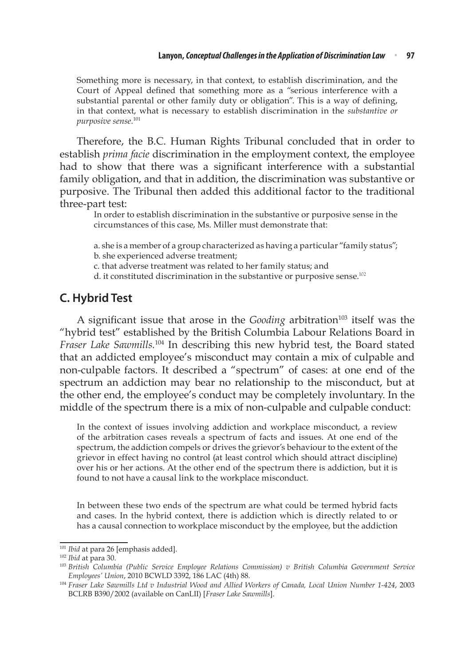Something more is necessary, in that context, to establish discrimination, and the Court of Appeal defined that something more as a "serious interference with a substantial parental or other family duty or obligation". This is a way of defining, in that context, what is necessary to establish discrimination in the *substantive or purposive sense.*<sup>101</sup>

Therefore, the B.C. Human Rights Tribunal concluded that in order to establish *prima facie* discrimination in the employment context, the employee had to show that there was a significant interference with a substantial family obligation, and that in addition, the discrimination was substantive or purposive. The Tribunal then added this additional factor to the traditional three-part test:

In order to establish discrimination in the substantive or purposive sense in the circumstances of this case, Ms. Miller must demonstrate that:

a. she is a member of a group characterized as having a particular "family status";

b. she experienced adverse treatment;

c. that adverse treatment was related to her family status; and

d. it constituted discrimination in the substantive or purposive sense.<sup>102</sup>

### **C. Hybrid Test**

A significant issue that arose in the *Gooding* arbitration<sup>103</sup> itself was the "hybrid test" established by the British Columbia Labour Relations Board in *Fraser Lake Sawmills.*104 In describing this new hybrid test, the Board stated that an addicted employee's misconduct may contain a mix of culpable and non-culpable factors. It described a "spectrum" of cases: at one end of the spectrum an addiction may bear no relationship to the misconduct, but at the other end, the employee's conduct may be completely involuntary. In the middle of the spectrum there is a mix of non-culpable and culpable conduct:

In the context of issues involving addiction and workplace misconduct, a review of the arbitration cases reveals a spectrum of facts and issues. At one end of the spectrum, the addiction compels or drives the grievor's behaviour to the extent of the grievor in effect having no control (at least control which should attract discipline) over his or her actions. At the other end of the spectrum there is addiction, but it is found to not have a causal link to the workplace misconduct.

In between these two ends of the spectrum are what could be termed hybrid facts and cases. In the hybrid context, there is addiction which is directly related to or has a causal connection to workplace misconduct by the employee, but the addiction

<sup>&</sup>lt;sup>101</sup> *Ibid* at para 26 [emphasis added].

<sup>102</sup> *Ibid* at para 30.

<sup>103</sup> *British Columbia (Public Service Employee Relations Commission) v British Columbia Government Service Employees' Union*, 2010 BCWLD 3392, 186 LAC (4th) 88.

<sup>104</sup> *Fraser Lake Sawmills Ltd v Industrial Wood and Allied Workers of Canada, Local Union Number 1-424*, 2003 BCLRB B390/2002 (available on CanLII) [*Fraser Lake Sawmills*].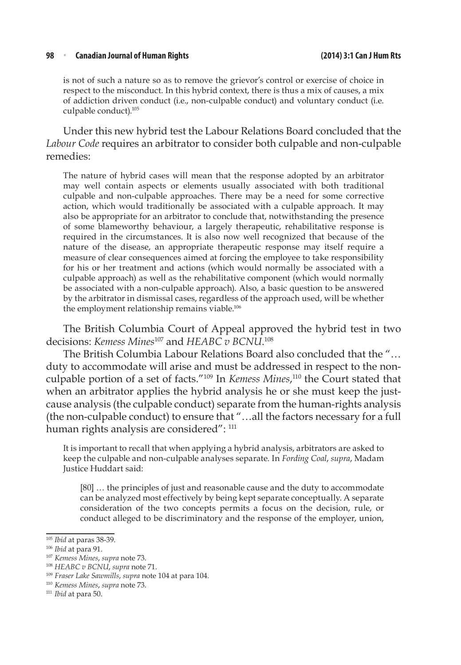#### **98** <sup>n</sup> **Canadian Journal of Human Rights (2014) 3:1 Can J Hum Rts**

is not of such a nature so as to remove the grievor's control or exercise of choice in respect to the misconduct. In this hybrid context, there is thus a mix of causes, a mix of addiction driven conduct (i.e., non-culpable conduct) and voluntary conduct (i.e. culpable conduct).105

Under this new hybrid test the Labour Relations Board concluded that the *Labour Code* requires an arbitrator to consider both culpable and non-culpable remedies:

The nature of hybrid cases will mean that the response adopted by an arbitrator may well contain aspects or elements usually associated with both traditional culpable and non-culpable approaches. There may be a need for some corrective action, which would traditionally be associated with a culpable approach. It may also be appropriate for an arbitrator to conclude that, notwithstanding the presence of some blameworthy behaviour, a largely therapeutic, rehabilitative response is required in the circumstances. It is also now well recognized that because of the nature of the disease, an appropriate therapeutic response may itself require a measure of clear consequences aimed at forcing the employee to take responsibility for his or her treatment and actions (which would normally be associated with a culpable approach) as well as the rehabilitative component (which would normally be associated with a non-culpable approach). Also, a basic question to be answered by the arbitrator in dismissal cases, regardless of the approach used, will be whether the employment relationship remains viable.<sup>106</sup>

The British Columbia Court of Appeal approved the hybrid test in two decisions: *Kemess Mines*107 and *HEABC v BCNU*. 108

The British Columbia Labour Relations Board also concluded that the "… duty to accommodate will arise and must be addressed in respect to the nonculpable portion of a set of facts."109 In *Kemess Mines*, 110 the Court stated that when an arbitrator applies the hybrid analysis he or she must keep the justcause analysis (the culpable conduct) separate from the human-rights analysis (the non-culpable conduct) to ensure that "…all the factors necessary for a full human rights analysis are considered": 111

It is important to recall that when applying a hybrid analysis, arbitrators are asked to keep the culpable and non-culpable analyses separate. In *Fording Coal*, *supra*, Madam Justice Huddart said:

[80] … the principles of just and reasonable cause and the duty to accommodate can be analyzed most effectively by being kept separate conceptually. A separate consideration of the two concepts permits a focus on the decision, rule, or conduct alleged to be discriminatory and the response of the employer, union,

<sup>105</sup> *Ibid* at paras 38-39.

<sup>106</sup> *Ibid* at para 91.

<sup>107</sup> *Kemess Mines*, *supra* note 73.

<sup>108</sup> *HEABC v BCNU*, *supra* note 71.

<sup>109</sup> *Fraser Lake Sawmills*, *supra* note 104 at para 104.

<sup>110</sup> *Kemess Mines*, *supra* note 73.

<sup>111</sup> *Ibid* at para 50.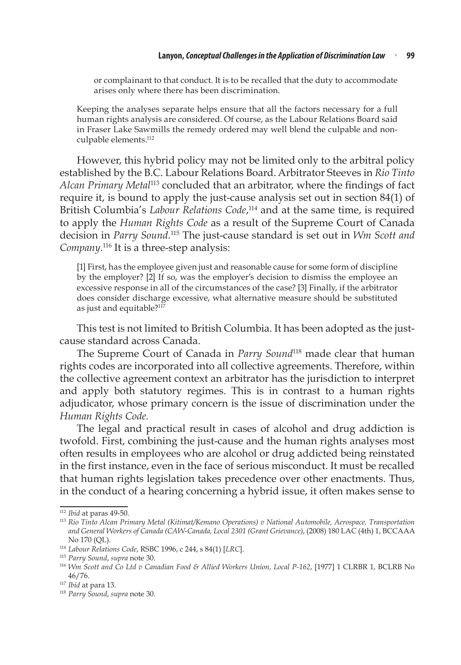or complainant to that conduct. It is to be recalled that the duty to accommodate arises only where there has been discrimination.

Keeping the analyses separate helps ensure that all the factors necessary for a full human rights analysis are considered. Of course, as the Labour Relations Board said in Fraser Lake Sawmills the remedy ordered may well blend the culpable and nonculpable elements.112

However, this hybrid policy may not be limited only to the arbitral policy established by the B.C. Labour Relations Board. Arbitrator Steeves in *Rio Tinto Alcan Primary Metal*<sup>113</sup> concluded that an arbitrator, where the findings of fact require it, is bound to apply the just-cause analysis set out in section 84(1) of British Columbia's *Labour Relations Code*, 114 and at the same time, is required to apply the *Human Rights Code* as a result of the Supreme Court of Canada decision in *Parry Sound*. 115 The just-cause standard is set out in *Wm Scott and*  Company.<sup>116</sup> It is a three-step analysis:

[1] First, has the employee given just and reasonable cause for some form of discipline by the employer? [2] If so, was the employer's decision to dismiss the employee an excessive response in all of the circumstances of the case? [3] Finally, if the arbitrator does consider discharge excessive, what alternative measure should be substituted as just and equitable?117

This test is not limited to British Columbia. It has been adopted as the justcause standard across Canada.

The Supreme Court of Canada in *Parry Sound*<sup>118</sup> made clear that human rights codes are incorporated into all collective agreements. Therefore, within the collective agreement context an arbitrator has the jurisdiction to interpret and apply both statutory regimes. This is in contrast to a human rights adjudicator, whose primary concern is the issue of discrimination under the *Human Rights Code.*

The legal and practical result in cases of alcohol and drug addiction is twofold. First, combining the just-cause and the human rights analyses most often results in employees who are alcohol or drug addicted being reinstated in the first instance, even in the face of serious misconduct. It must be recalled that human rights legislation takes precedence over other enactments. Thus, in the conduct of a hearing concerning a hybrid issue, it often makes sense to

<sup>112</sup> *Ibid* at paras 49-50.

<sup>113</sup> *Rio Tinto Alcan Primary Metal (Kitimat/Kemano Operations) v National Automobile, Aerospace, Transportation and General Workers of Canada (CAW-Canada, Local 2301 (Grant Grievance)*, (2008) 180 LAC (4th) 1, BCCAAA No 170 (QL).

<sup>114</sup> *Labour Relations Code*, RSBC 1996, c 244, s 84(1) [*LRC*].

<sup>115</sup> *Parry Sound*, *supra* note 30.

<sup>116</sup> *Wm Scott and Co Ltd v Canadian Food & Allied Workers Union, Local P-162*, [1977] 1 CLRBR 1, BCLRB No 46/76.

<sup>117</sup> *Ibid* at para 13.

<sup>118</sup> *Parry Sound*, *supra* note 30.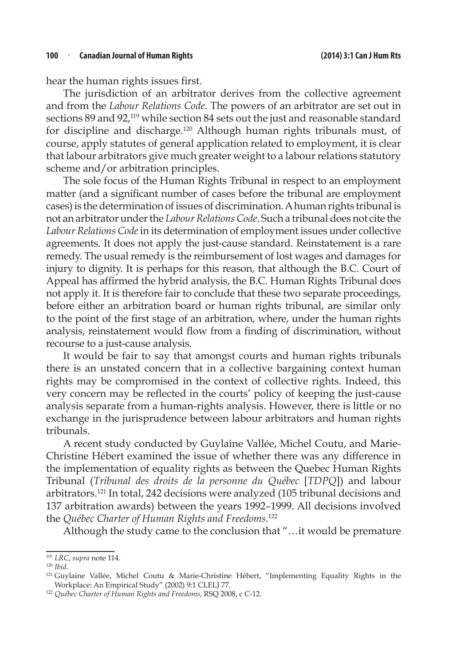hear the human rights issues first.

The jurisdiction of an arbitrator derives from the collective agreement and from the *Labour Relations Code.* The powers of an arbitrator are set out in sections 89 and 92,<sup>119</sup> while section 84 sets out the just and reasonable standard for discipline and discharge.120 Although human rights tribunals must, of course, apply statutes of general application related to employment, it is clear that labour arbitrators give much greater weight to a labour relations statutory scheme and/or arbitration principles.

The sole focus of the Human Rights Tribunal in respect to an employment matter (and a significant number of cases before the tribunal are employment cases) is the determination of issues of discrimination. A human rights tribunal is not an arbitrator under the *Labour Relations Code*. Such a tribunal does not cite the *Labour Relations Code* in its determination of employment issues under collective agreements. It does not apply the just-cause standard. Reinstatement is a rare remedy. The usual remedy is the reimbursement of lost wages and damages for injury to dignity. It is perhaps for this reason, that although the B.C. Court of Appeal has affirmed the hybrid analysis, the B.C. Human Rights Tribunal does not apply it. It is therefore fair to conclude that these two separate proceedings, before either an arbitration board or human rights tribunal, are similar only to the point of the first stage of an arbitration, where, under the human rights analysis, reinstatement would flow from a finding of discrimination, without recourse to a just-cause analysis.

It would be fair to say that amongst courts and human rights tribunals there is an unstated concern that in a collective bargaining context human rights may be compromised in the context of collective rights. Indeed, this very concern may be reflected in the courts' policy of keeping the just-cause analysis separate from a human-rights analysis. However, there is little or no exchange in the jurisprudence between labour arbitrators and human rights tribunals.

A recent study conducted by Guylaine Vallée, Michel Coutu, and Marie-Christine Hébert examined the issue of whether there was any difference in the implementation of equality rights as between the Quebec Human Rights Tribunal (*Tribunal des droits de la personne du Québec* [*TDPQ*]) and labour arbitrators.121 In total, 242 decisions were analyzed (105 tribunal decisions and 137 arbitration awards) between the years 1992–1999. All decisions involved the *Québec Charter of Human Rights and Freedoms*. 122

Although the study came to the conclusion that "…it would be premature

<sup>119</sup> *LRC*, *supra* note 114.

<sup>120</sup> *Ibid*.

<sup>121</sup> Guylaine Vallée, Michel Coutu & Marie-Christine Hébert, "Implementing Equality Rights in the Workplace: An Empirical Study" (2002) 9:1 CLELJ 77.

<sup>122</sup> *Québec Charter of Human Rights and Freedoms*, RSQ 2008, c C-12.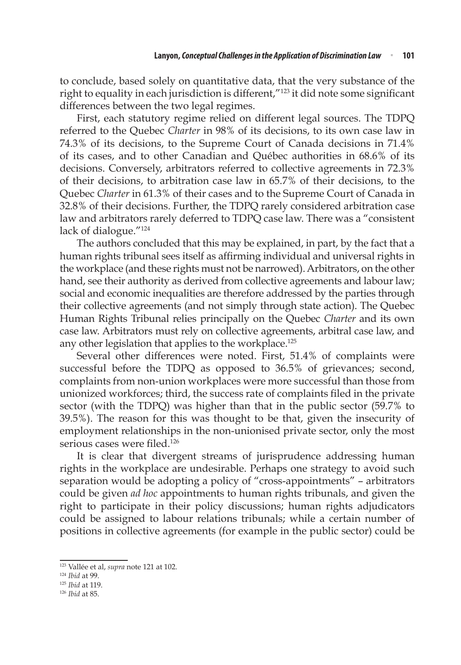to conclude, based solely on quantitative data, that the very substance of the right to equality in each jurisdiction is different,"<sup>123</sup> it did note some significant differences between the two legal regimes.

First, each statutory regime relied on different legal sources. The TDPQ referred to the Quebec *Charter* in 98% of its decisions, to its own case law in 74.3% of its decisions, to the Supreme Court of Canada decisions in 71.4% of its cases, and to other Canadian and Québec authorities in 68.6% of its decisions. Conversely, arbitrators referred to collective agreements in 72.3% of their decisions, to arbitration case law in 65.7% of their decisions, to the Quebec *Charter* in 61.3% of their cases and to the Supreme Court of Canada in 32.8% of their decisions. Further, the TDPQ rarely considered arbitration case law and arbitrators rarely deferred to TDPQ case law. There was a "consistent lack of dialogue."<sup>124</sup>

The authors concluded that this may be explained, in part, by the fact that a human rights tribunal sees itself as affirming individual and universal rights in the workplace (and these rights must not be narrowed). Arbitrators, on the other hand, see their authority as derived from collective agreements and labour law; social and economic inequalities are therefore addressed by the parties through their collective agreements (and not simply through state action). The Quebec Human Rights Tribunal relies principally on the Quebec *Charter* and its own case law. Arbitrators must rely on collective agreements, arbitral case law, and any other legislation that applies to the workplace.<sup>125</sup>

Several other differences were noted. First, 51.4% of complaints were successful before the TDPQ as opposed to 36.5% of grievances; second, complaints from non-union workplaces were more successful than those from unionized workforces; third, the success rate of complaints filed in the private sector (with the TDPQ) was higher than that in the public sector (59.7% to 39.5%). The reason for this was thought to be that, given the insecurity of employment relationships in the non-unionised private sector, only the most serious cases were filed.<sup>126</sup>

It is clear that divergent streams of jurisprudence addressing human rights in the workplace are undesirable. Perhaps one strategy to avoid such separation would be adopting a policy of "cross-appointments" – arbitrators could be given *ad hoc* appointments to human rights tribunals, and given the right to participate in their policy discussions; human rights adjudicators could be assigned to labour relations tribunals; while a certain number of positions in collective agreements (for example in the public sector) could be

<sup>123</sup> Vallée et al, *supra* note 121 at 102.

<sup>124</sup> *Ibid* at 99.

<sup>125</sup> *Ibid* at 119.

<sup>126</sup> *Ibid* at 85.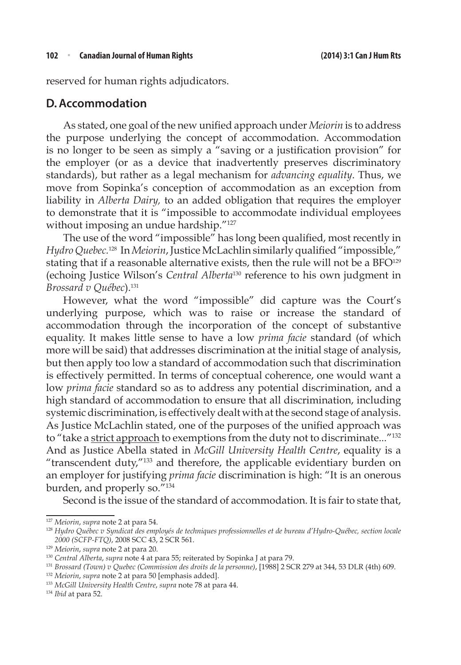reserved for human rights adjudicators.

### **D.Accommodation**

As stated, one goal of the new unified approach under *Meiorin* is to address the purpose underlying the concept of accommodation. Accommodation is no longer to be seen as simply a "saving or a justification provision" for the employer (or as a device that inadvertently preserves discriminatory standards), but rather as a legal mechanism for *advancing equality*. Thus, we move from Sopinka's conception of accommodation as an exception from liability in *Alberta Dairy,* to an added obligation that requires the employer to demonstrate that it is "impossible to accommodate individual employees without imposing an undue hardship."<sup>127</sup>

The use of the word "impossible" has long been qualified, most recently in *Hydro Quebec.*128 In *Meiorin*, Justice McLachlin similarly qualified "impossible," stating that if a reasonable alternative exists, then the rule will not be a BFO<sup>129</sup> (echoing Justice Wilson's *Central Alberta*130 reference to his own judgment in *Brossard v Québec*).131

However, what the word "impossible" did capture was the Court's underlying purpose, which was to raise or increase the standard of accommodation through the incorporation of the concept of substantive equality. It makes little sense to have a low *prima facie* standard (of which more will be said) that addresses discrimination at the initial stage of analysis, but then apply too low a standard of accommodation such that discrimination is effectively permitted. In terms of conceptual coherence, one would want a low *prima facie* standard so as to address any potential discrimination, and a high standard of accommodation to ensure that all discrimination, including systemic discrimination, is effectively dealt with at the second stage of analysis. As Justice McLachlin stated, one of the purposes of the unified approach was to "take a strict approach to exemptions from the duty not to discriminate..."<sup>132</sup> And as Justice Abella stated in *McGill University Health Centre*, equality is a "transcendent duty,"133 and therefore, the applicable evidentiary burden on an employer for justifying *prima facie* discrimination is high: "It is an onerous burden, and properly so."<sup>134</sup>

Second is the issue of the standard of accommodation. It is fair to state that,

<sup>127</sup> *Meiorin*, *supra* note 2 at para 54.

<sup>128</sup> *Hydro Québec v Syndicat des employés de techniques professionnelles et de bureau d'Hydro-Québec, section locale 2000 (SCFP-FTQ)*, 2008 SCC 43, 2 SCR 561.

<sup>129</sup> *Meiorin*, *supra* note 2 at para 20.

<sup>130</sup> *Central Alberta*, *supra* note 4 at para 55; reiterated by Sopinka J at para 79.

<sup>131</sup> *Brossard (Town) v Quebec (Commission des droits de la personne)*, [1988] 2 SCR 279 at 344, 53 DLR (4th) 609. 132 *Meiorin*, *supra* note 2 at para 50 [emphasis added].

<sup>133</sup> *McGill University Health Centre*, *supra* note 78 at para 44.

<sup>134</sup> *Ibid* at para 52.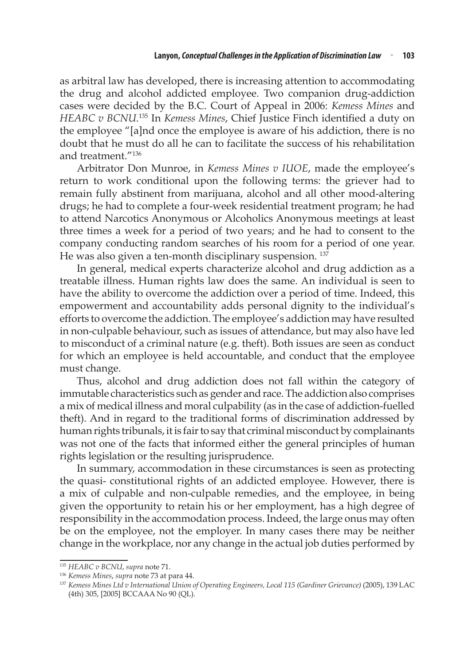as arbitral law has developed, there is increasing attention to accommodating the drug and alcohol addicted employee. Two companion drug-addiction cases were decided by the B.C. Court of Appeal in 2006: *Kemess Mines* and *HEABC v BCNU.*<sup>135</sup> In *Kemess Mines*, Chief Justice Finch identified a duty on the employee "[a]nd once the employee is aware of his addiction, there is no doubt that he must do all he can to facilitate the success of his rehabilitation and treatment<sup>"136</sup>

Arbitrator Don Munroe, in *Kemess Mines v IUOE*, made the employee's return to work conditional upon the following terms: the griever had to remain fully abstinent from marijuana, alcohol and all other mood-altering drugs; he had to complete a four-week residential treatment program; he had to attend Narcotics Anonymous or Alcoholics Anonymous meetings at least three times a week for a period of two years; and he had to consent to the company conducting random searches of his room for a period of one year. He was also given a ten-month disciplinary suspension.<sup>137</sup>

In general, medical experts characterize alcohol and drug addiction as a treatable illness. Human rights law does the same. An individual is seen to have the ability to overcome the addiction over a period of time. Indeed, this empowerment and accountability adds personal dignity to the individual's efforts to overcome the addiction. The employee's addiction may have resulted in non-culpable behaviour, such as issues of attendance, but may also have led to misconduct of a criminal nature (e.g. theft). Both issues are seen as conduct for which an employee is held accountable, and conduct that the employee must change.

Thus, alcohol and drug addiction does not fall within the category of immutable characteristics such as gender and race. The addiction also comprises a mix of medical illness and moral culpability (as in the case of addiction-fuelled theft). And in regard to the traditional forms of discrimination addressed by human rights tribunals, it is fair to say that criminal misconduct by complainants was not one of the facts that informed either the general principles of human rights legislation or the resulting jurisprudence.

In summary, accommodation in these circumstances is seen as protecting the quasi- constitutional rights of an addicted employee. However, there is a mix of culpable and non-culpable remedies, and the employee, in being given the opportunity to retain his or her employment, has a high degree of responsibility in the accommodation process. Indeed, the large onus may often be on the employee, not the employer. In many cases there may be neither change in the workplace, nor any change in the actual job duties performed by

<sup>135</sup> *HEABC v BCNU*, *supra* note 71.

<sup>136</sup> *Kemess Mines*, *supra* note 73 at para 44.

<sup>137</sup> *Kemess Mines Ltd v International Union of Operating Engineers, Local 115 (Gardiner Grievance)* (2005), 139 LAC (4th) 305, [2005] BCCAAA No 90 (QL).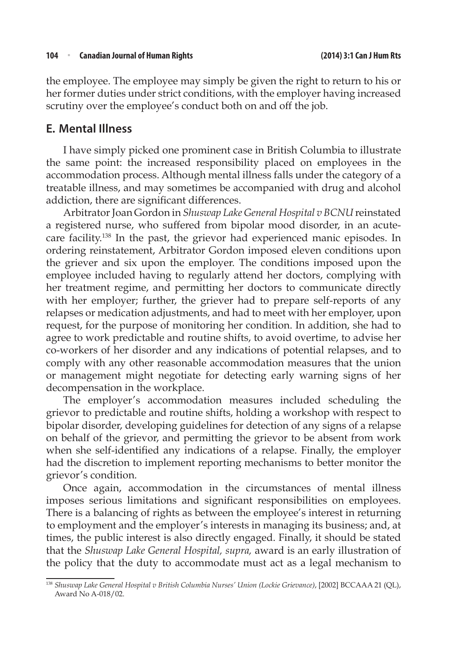#### **104** <sup>n</sup> **Canadian Journal of Human Rights (2014) 3:1 Can J Hum Rts**

the employee. The employee may simply be given the right to return to his or her former duties under strict conditions, with the employer having increased scrutiny over the employee's conduct both on and off the job.

### **E. Mental Illness**

I have simply picked one prominent case in British Columbia to illustrate the same point: the increased responsibility placed on employees in the accommodation process. Although mental illness falls under the category of a treatable illness, and may sometimes be accompanied with drug and alcohol addiction, there are significant differences.

Arbitrator Joan Gordon in *Shuswap Lake General Hospital v BCNU* reinstated a registered nurse, who suffered from bipolar mood disorder, in an acutecare facility.138 In the past, the grievor had experienced manic episodes. In ordering reinstatement, Arbitrator Gordon imposed eleven conditions upon the griever and six upon the employer. The conditions imposed upon the employee included having to regularly attend her doctors, complying with her treatment regime, and permitting her doctors to communicate directly with her employer; further, the griever had to prepare self-reports of any relapses or medication adjustments, and had to meet with her employer, upon request, for the purpose of monitoring her condition. In addition, she had to agree to work predictable and routine shifts, to avoid overtime, to advise her co-workers of her disorder and any indications of potential relapses, and to comply with any other reasonable accommodation measures that the union or management might negotiate for detecting early warning signs of her decompensation in the workplace.

The employer's accommodation measures included scheduling the grievor to predictable and routine shifts, holding a workshop with respect to bipolar disorder, developing guidelines for detection of any signs of a relapse on behalf of the grievor, and permitting the grievor to be absent from work when she self-identified any indications of a relapse. Finally, the employer had the discretion to implement reporting mechanisms to better monitor the grievor's condition.

Once again, accommodation in the circumstances of mental illness imposes serious limitations and significant responsibilities on employees. There is a balancing of rights as between the employee's interest in returning to employment and the employer's interests in managing its business; and, at times, the public interest is also directly engaged. Finally, it should be stated that the *Shuswap Lake General Hospital, supra,* award is an early illustration of the policy that the duty to accommodate must act as a legal mechanism to

<sup>138</sup> *Shuswap Lake General Hospital v British Columbia Nurses' Union (Lockie Grievance)*, [2002] BCCAAA 21 (QL), Award No A-018/02.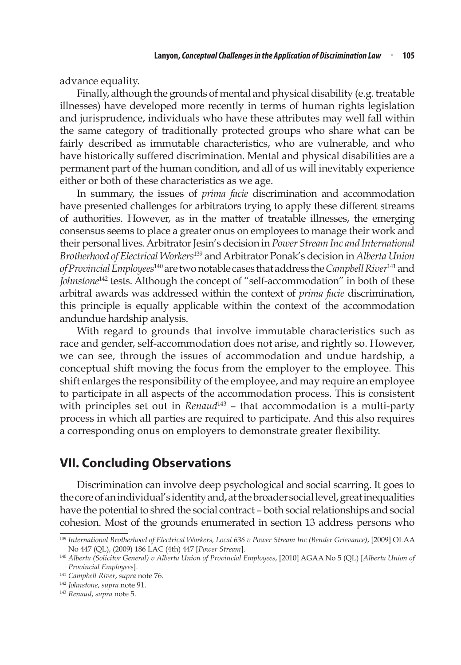advance equality.

Finally, although the grounds of mental and physical disability (e.g. treatable illnesses) have developed more recently in terms of human rights legislation and jurisprudence, individuals who have these attributes may well fall within the same category of traditionally protected groups who share what can be fairly described as immutable characteristics, who are vulnerable, and who have historically suffered discrimination. Mental and physical disabilities are a permanent part of the human condition, and all of us will inevitably experience either or both of these characteristics as we age.

In summary, the issues of *prima facie* discrimination and accommodation have presented challenges for arbitrators trying to apply these different streams of authorities. However, as in the matter of treatable illnesses, the emerging consensus seems to place a greater onus on employees to manage their work and their personal lives. Arbitrator Jesin's decision in *Power Stream Inc and International Brotherhood of Electrical Workers*139 and Arbitrator Ponak's decision in *Alberta Union of Provincial Employees*140 are two notable cases that address the *Campbell River*<sup>141</sup> and *Johnstone*<sup>142</sup> tests. Although the concept of "self-accommodation" in both of these arbitral awards was addressed within the context of *prima facie* discrimination, this principle is equally applicable within the context of the accommodation andundue hardship analysis.

With regard to grounds that involve immutable characteristics such as race and gender, self-accommodation does not arise, and rightly so. However, we can see, through the issues of accommodation and undue hardship, a conceptual shift moving the focus from the employer to the employee. This shift enlarges the responsibility of the employee, and may require an employee to participate in all aspects of the accommodation process. This is consistent with principles set out in *Renaud*<sup>143</sup> - that accommodation is a multi-party process in which all parties are required to participate. And this also requires a corresponding onus on employers to demonstrate greater flexibility.

### **VII. Concluding Observations**

Discrimination can involve deep psychological and social scarring. It goes to the core of an individual's identity and, at the broader social level, great inequalities have the potential to shred the social contract – both social relationships and social cohesion. Most of the grounds enumerated in section 13 address persons who

<sup>139</sup> *International Brotherhood of Electrical Workers, Local 636 v Power Stream Inc (Bender Grievance)*, [2009] OLAA No 447 (QL), (2009) 186 LAC (4th) 447 [*Power Stream*].

<sup>140</sup> *Alberta (Solicitor General) v Alberta Union of Provincial Employees*, [2010] AGAA No 5 (QL) [*Alberta Union of Provincial Employees*].

<sup>141</sup> *Campbell River*, *supra* note 76.

<sup>142</sup> *Johnstone*, *supra* note 91.

<sup>143</sup> *Renaud*, *supra* note 5.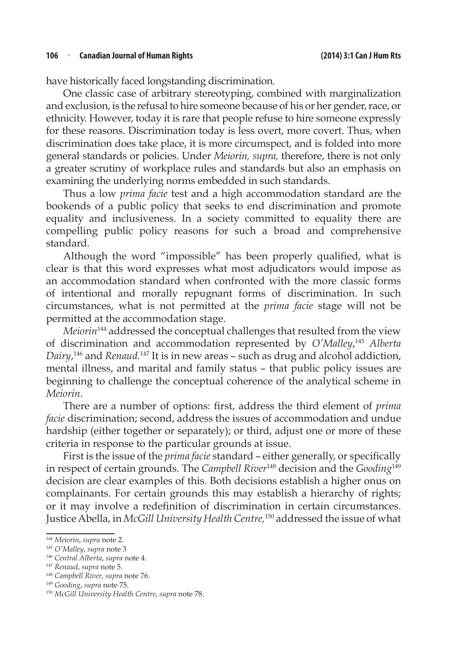have historically faced longstanding discrimination.

One classic case of arbitrary stereotyping, combined with marginalization and exclusion, is the refusal to hire someone because of his or her gender, race, or ethnicity. However, today it is rare that people refuse to hire someone expressly for these reasons. Discrimination today is less overt, more covert. Thus, when discrimination does take place, it is more circumspect, and is folded into more general standards or policies. Under *Meiorin, supra,* therefore, there is not only a greater scrutiny of workplace rules and standards but also an emphasis on examining the underlying norms embedded in such standards.

Thus a low *prima facie* test and a high accommodation standard are the bookends of a public policy that seeks to end discrimination and promote equality and inclusiveness. In a society committed to equality there are compelling public policy reasons for such a broad and comprehensive standard.

Although the word "impossible" has been properly qualified, what is clear is that this word expresses what most adjudicators would impose as an accommodation standard when confronted with the more classic forms of intentional and morally repugnant forms of discrimination. In such circumstances, what is not permitted at the *prima facie* stage will not be permitted at the accommodation stage.

*Meiorin*144 addressed the conceptual challenges that resulted from the view of discrimination and accommodation represented by *O'Malley*, <sup>145</sup> *Alberta Dairy*, 146 and *Renaud.*<sup>147</sup> It is in new areas – such as drug and alcohol addiction, mental illness, and marital and family status – that public policy issues are beginning to challenge the conceptual coherence of the analytical scheme in *Meiorin*.

There are a number of options: first, address the third element of *prima facie* discrimination; second, address the issues of accommodation and undue hardship (either together or separately); or third, adjust one or more of these criteria in response to the particular grounds at issue.

First is the issue of the *prima facie* standard – either generally, or specifically in respect of certain grounds. The *Campbell River*<sup>148</sup> decision and the *Gooding*<sup>149</sup> decision are clear examples of this. Both decisions establish a higher onus on complainants. For certain grounds this may establish a hierarchy of rights; or it may involve a redefinition of discrimination in certain circumstances. Justice Abella, in *McGill University Health Centre,*150 addressed the issue of what

<sup>144</sup> *Meiorin*, *supra* note 2.

<sup>145</sup> *O'Malley*, *supra* note 3

<sup>146</sup> *Central Alberta*, *supra* note 4.

<sup>147</sup> *Renaud*, *supra* note 5.

<sup>148</sup> *Campbell River*, *supra* note 76.

<sup>149</sup> *Gooding*, *supra* note 75.

<sup>150</sup> *McGill University Health Centre*, *supra* note 78.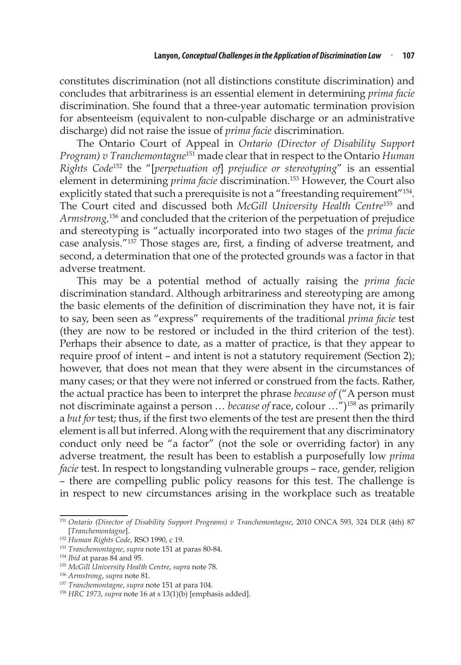constitutes discrimination (not all distinctions constitute discrimination) and concludes that arbitrariness is an essential element in determining *prima facie*  discrimination. She found that a three-year automatic termination provision for absenteeism (equivalent to non-culpable discharge or an administrative discharge) did not raise the issue of *prima facie* discrimination.

The Ontario Court of Appeal in *Ontario (Director of Disability Support Program) v Tranchemontagne*151 made clear that in respect to the Ontario *Human Rights Code*152 the "[*perpetuation of*] *prejudice or stereotyping*" is an essential element in determining *prima facie* discrimination.<sup>153</sup> However, the Court also explicitly stated that such a prerequisite is not a "freestanding requirement"<sup>154</sup>. The Court cited and discussed both *McGill University Health Centre*155 and *Armstrong,*156 and concluded that the criterion of the perpetuation of prejudice and stereotyping is "actually incorporated into two stages of the *prima facie* case analysis."<sup>157</sup> Those stages are, first, a finding of adverse treatment, and second, a determination that one of the protected grounds was a factor in that adverse treatment.

This may be a potential method of actually raising the *prima facie*  discrimination standard. Although arbitrariness and stereotyping are among the basic elements of the definition of discrimination they have not, it is fair to say, been seen as "express" requirements of the traditional *prima facie* test (they are now to be restored or included in the third criterion of the test). Perhaps their absence to date, as a matter of practice, is that they appear to require proof of intent – and intent is not a statutory requirement (Section 2); however, that does not mean that they were absent in the circumstances of many cases; or that they were not inferred or construed from the facts. Rather, the actual practice has been to interpret the phrase *because of* ("A person must not discriminate against a person … *because of* race, colour …")158 as primarily a *but for* test; thus, if the first two elements of the test are present then the third element is all but inferred. Along with the requirement that any discriminatory conduct only need be "a factor" (not the sole or overriding factor) in any adverse treatment, the result has been to establish a purposefully low *prima facie* test. In respect to longstanding vulnerable groups – race, gender, religion – there are compelling public policy reasons for this test. The challenge is in respect to new circumstances arising in the workplace such as treatable

<sup>151</sup> *Ontario (Director of Disability Support Programs) v Tranchemontagne*, 2010 ONCA 593, 324 DLR (4th) 87 [*Tranchemontagne*].

<sup>152</sup> *Human Rights Code*, RSO 1990, c 19.

<sup>153</sup> *Tranchemontagne*, *supra* note 151 at paras 80-84.

<sup>154</sup> *Ibid* at paras 84 and 95.

<sup>155</sup> *McGill University Health Centre*, *supra* note 78.

<sup>156</sup> *Armstrong*, *supra* note 81.

<sup>157</sup> *Tranchemontagne*, *supra* note 151 at para 104.

<sup>158</sup> *HRC 1973*, *supra* note 16 at s 13(1)(b) [emphasis added].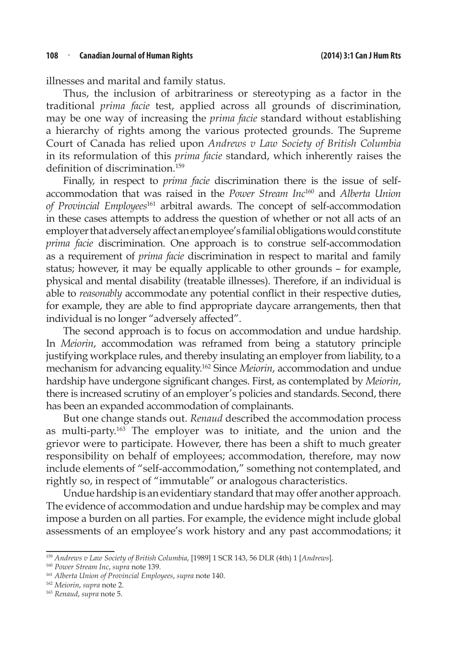illnesses and marital and family status.

Thus, the inclusion of arbitrariness or stereotyping as a factor in the traditional *prima facie* test, applied across all grounds of discrimination, may be one way of increasing the *prima facie* standard without establishing a hierarchy of rights among the various protected grounds. The Supreme Court of Canada has relied upon *Andrews v Law Society of British Columbia* in its reformulation of this *prima facie* standard, which inherently raises the definition of discrimination.<sup>159</sup>

Finally, in respect to *prima facie* discrimination there is the issue of selfaccommodation that was raised in the *Power Stream Inc*160 and *Alberta Union of Provincial Employees*<sup>161</sup> arbitral awards. The concept of self-accommodation in these cases attempts to address the question of whether or not all acts of an employer that adversely affect an employee's familial obligations would constitute *prima facie* discrimination. One approach is to construe self-accommodation as a requirement of *prima facie* discrimination in respect to marital and family status; however, it may be equally applicable to other grounds – for example, physical and mental disability (treatable illnesses). Therefore, if an individual is able to *reasonably* accommodate any potential conflict in their respective duties, for example, they are able to find appropriate daycare arrangements, then that individual is no longer "adversely affected".

The second approach is to focus on accommodation and undue hardship. In *Meiorin*, accommodation was reframed from being a statutory principle justifying workplace rules, and thereby insulating an employer from liability, to a mechanism for advancing equality.162 Since *Meiorin*, accommodation and undue hardship have undergone significant changes. First, as contemplated by *Meiorin*, there is increased scrutiny of an employer's policies and standards. Second, there has been an expanded accommodation of complainants.

But one change stands out. *Renaud* described the accommodation process as multi-party.163 The employer was to initiate, and the union and the grievor were to participate. However, there has been a shift to much greater responsibility on behalf of employees; accommodation, therefore, may now include elements of "self-accommodation," something not contemplated, and rightly so, in respect of "immutable" or analogous characteristics.

Undue hardship is an evidentiary standard that may offer another approach. The evidence of accommodation and undue hardship may be complex and may impose a burden on all parties. For example, the evidence might include global assessments of an employee's work history and any past accommodations; it

<sup>159</sup> *Andrews v Law Society of British Columbia*, [1989] 1 SCR 143, 56 DLR (4th) 1 [*Andrews*].

<sup>160</sup> *Power Stream Inc*, *supra* note 139.

<sup>161</sup> *Alberta Union of Provincial Employees*, *supra* note 140.

<sup>162</sup> *Meiorin*, *supra* note 2.

<sup>163</sup> *Renaud*, *supra* note 5.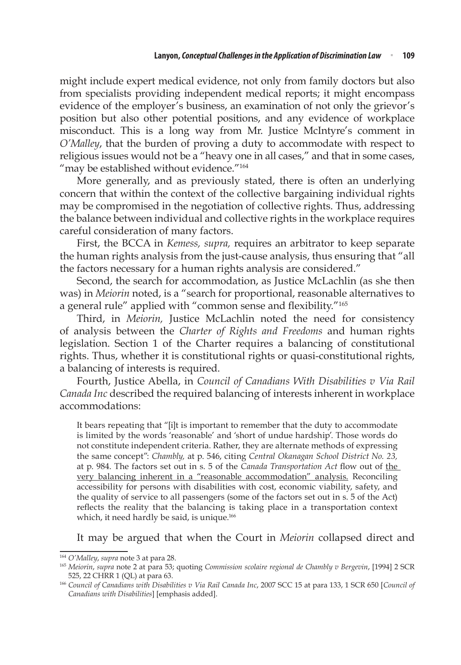might include expert medical evidence, not only from family doctors but also from specialists providing independent medical reports; it might encompass evidence of the employer's business, an examination of not only the grievor's position but also other potential positions, and any evidence of workplace misconduct. This is a long way from Mr. Justice McIntyre's comment in *O'Malley*, that the burden of proving a duty to accommodate with respect to religious issues would not be a "heavy one in all cases," and that in some cases, "may be established without evidence."<sup>164</sup>

More generally, and as previously stated, there is often an underlying concern that within the context of the collective bargaining individual rights may be compromised in the negotiation of collective rights. Thus, addressing the balance between individual and collective rights in the workplace requires careful consideration of many factors.

First, the BCCA in *Kemess, supra,* requires an arbitrator to keep separate the human rights analysis from the just-cause analysis, thus ensuring that "all the factors necessary for a human rights analysis are considered."

Second, the search for accommodation, as Justice McLachlin (as she then was) in *Meiorin* noted, is a "search for proportional, reasonable alternatives to a general rule" applied with "common sense and flexibility."<sup>165</sup>

Third, in *Meiorin,* Justice McLachlin noted the need for consistency of analysis between the *Charter of Rights and Freedoms* and human rights legislation. Section 1 of the Charter requires a balancing of constitutional rights. Thus, whether it is constitutional rights or quasi-constitutional rights, a balancing of interests is required.

Fourth, Justice Abella, in *Council of Canadians With Disabilities v Via Rail Canada Inc* described the required balancing of interests inherent in workplace accommodations:

It bears repeating that "[i]t is important to remember that the duty to accommodate is limited by the words 'reasonable' and 'short of undue hardship'. Those words do not constitute independent criteria. Rather, they are alternate methods of expressing the same concept": *Chambly,* at p. 546, citing *Central Okanagan School District No. 23,*  at p. 984. The factors set out in s. 5 of the *Canada Transportation Act* flow out of the very balancing inherent in a "reasonable accommodation" analysis. Reconciling accessibility for persons with disabilities with cost, economic viability, safety, and the quality of service to all passengers (some of the factors set out in s. 5 of the Act) reflects the reality that the balancing is taking place in a transportation context which, it need hardly be said, is unique.<sup>166</sup>

It may be argued that when the Court in *Meiorin* collapsed direct and

<sup>164</sup> *O'Malley*, *supra* note 3 at para 28.

<sup>165</sup> *Meiorin*, *supra* note 2 at para 53; quoting *Commission scolaire regional de Chambly v Bergevin*, [1994] 2 SCR 525, 22 CHRR 1 (QL) at para 63.

<sup>166</sup> *Council of Canadians with Disabilities v Via Rail Canada Inc*, 2007 SCC 15 at para 133, 1 SCR 650 [*Council of Canadians with Disabilities*] [emphasis added].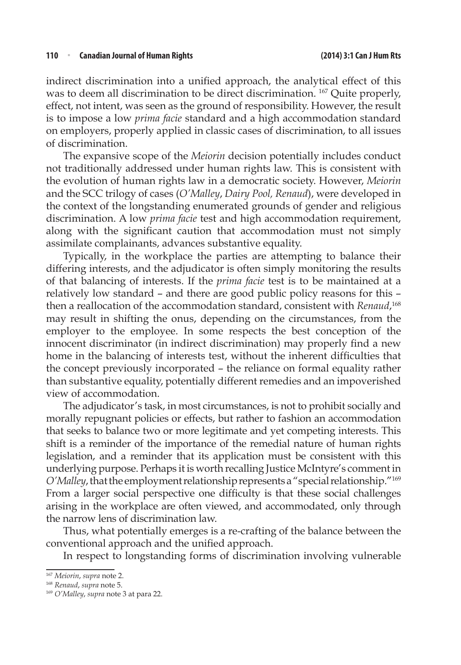indirect discrimination into a unified approach, the analytical effect of this was to deem all discrimination to be direct discrimination. 167 Quite properly, effect, not intent, was seen as the ground of responsibility. However, the result is to impose a low *prima facie* standard and a high accommodation standard on employers, properly applied in classic cases of discrimination, to all issues of discrimination.

The expansive scope of the *Meiorin* decision potentially includes conduct not traditionally addressed under human rights law. This is consistent with the evolution of human rights law in a democratic society. However, *Meiorin* and the SCC trilogy of cases (*O'Malley*, *Dairy Pool, Renaud*), were developed in the context of the longstanding enumerated grounds of gender and religious discrimination. A low *prima facie* test and high accommodation requirement, along with the significant caution that accommodation must not simply assimilate complainants, advances substantive equality.

Typically, in the workplace the parties are attempting to balance their differing interests, and the adjudicator is often simply monitoring the results of that balancing of interests. If the *prima facie* test is to be maintained at a relatively low standard – and there are good public policy reasons for this – then a reallocation of the accommodation standard, consistent with *Renaud*, 168 may result in shifting the onus, depending on the circumstances, from the employer to the employee. In some respects the best conception of the innocent discriminator (in indirect discrimination) may properly find a new home in the balancing of interests test, without the inherent difficulties that the concept previously incorporated – the reliance on formal equality rather than substantive equality, potentially different remedies and an impoverished view of accommodation.

The adjudicator's task, in most circumstances, is not to prohibit socially and morally repugnant policies or effects, but rather to fashion an accommodation that seeks to balance two or more legitimate and yet competing interests. This shift is a reminder of the importance of the remedial nature of human rights legislation, and a reminder that its application must be consistent with this underlying purpose. Perhaps it is worth recalling Justice McIntyre's comment in *O'Malley*, that the employment relationship represents a "special relationship."<sup>169</sup> From a larger social perspective one difficulty is that these social challenges arising in the workplace are often viewed, and accommodated, only through the narrow lens of discrimination law.

Thus, what potentially emerges is a re-crafting of the balance between the conventional approach and the unified approach.

In respect to longstanding forms of discrimination involving vulnerable

<sup>167</sup> *Meiorin*, *supra* note 2.

<sup>168</sup> *Renaud*, *supra* note 5.

<sup>169</sup> *O'Malley*, *supra* note 3 at para 22.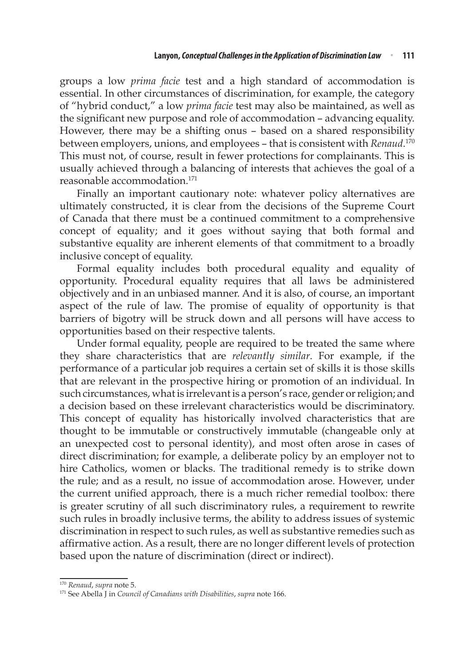groups a low *prima facie* test and a high standard of accommodation is essential. In other circumstances of discrimination, for example, the category of "hybrid conduct," a low *prima facie* test may also be maintained, as well as the significant new purpose and role of accommodation – advancing equality. However, there may be a shifting onus – based on a shared responsibility between employers, unions, and employees – that is consistent with *Renaud*. 170 This must not, of course, result in fewer protections for complainants. This is usually achieved through a balancing of interests that achieves the goal of a reasonable accommodation.171

Finally an important cautionary note: whatever policy alternatives are ultimately constructed, it is clear from the decisions of the Supreme Court of Canada that there must be a continued commitment to a comprehensive concept of equality; and it goes without saying that both formal and substantive equality are inherent elements of that commitment to a broadly inclusive concept of equality.

Formal equality includes both procedural equality and equality of opportunity. Procedural equality requires that all laws be administered objectively and in an unbiased manner. And it is also, of course, an important aspect of the rule of law. The promise of equality of opportunity is that barriers of bigotry will be struck down and all persons will have access to opportunities based on their respective talents.

Under formal equality, people are required to be treated the same where they share characteristics that are *relevantly similar*. For example, if the performance of a particular job requires a certain set of skills it is those skills that are relevant in the prospective hiring or promotion of an individual. In such circumstances, what is irrelevant is a person's race, gender or religion; and a decision based on these irrelevant characteristics would be discriminatory. This concept of equality has historically involved characteristics that are thought to be immutable or constructively immutable (changeable only at an unexpected cost to personal identity), and most often arose in cases of direct discrimination; for example, a deliberate policy by an employer not to hire Catholics, women or blacks. The traditional remedy is to strike down the rule; and as a result, no issue of accommodation arose. However, under the current unified approach, there is a much richer remedial toolbox: there is greater scrutiny of all such discriminatory rules, a requirement to rewrite such rules in broadly inclusive terms, the ability to address issues of systemic discrimination in respect to such rules, as well as substantive remedies such as affirmative action. As a result, there are no longer different levels of protection based upon the nature of discrimination (direct or indirect).

<sup>170</sup> *Renaud*, *supra* note 5.

<sup>171</sup> See Abella J in *Council of Canadians with Disabilities*, *supra* note 166.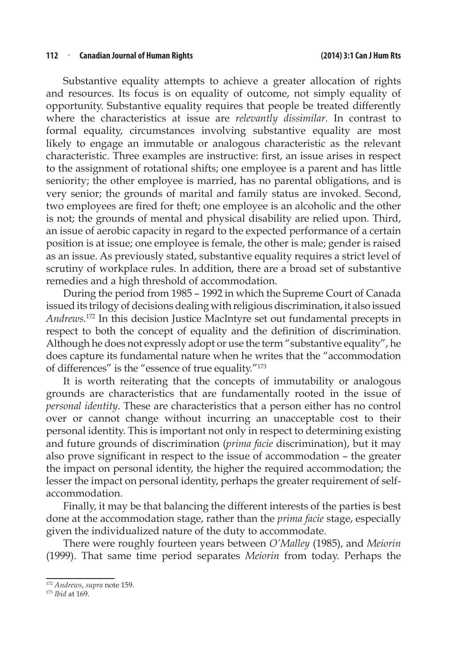#### **112** <sup>n</sup> **Canadian Journal of Human Rights (2014) 3:1 Can J Hum Rts**

Substantive equality attempts to achieve a greater allocation of rights and resources. Its focus is on equality of outcome, not simply equality of opportunity. Substantive equality requires that people be treated differently where the characteristics at issue are *relevantly dissimilar*. In contrast to formal equality, circumstances involving substantive equality are most likely to engage an immutable or analogous characteristic as the relevant characteristic. Three examples are instructive: first, an issue arises in respect to the assignment of rotational shifts; one employee is a parent and has little seniority; the other employee is married, has no parental obligations, and is very senior; the grounds of marital and family status are invoked. Second, two employees are fired for theft; one employee is an alcoholic and the other is not; the grounds of mental and physical disability are relied upon. Third, an issue of aerobic capacity in regard to the expected performance of a certain position is at issue; one employee is female, the other is male; gender is raised as an issue. As previously stated, substantive equality requires a strict level of scrutiny of workplace rules. In addition, there are a broad set of substantive remedies and a high threshold of accommodation.

During the period from 1985 – 1992 in which the Supreme Court of Canada issued its trilogy of decisions dealing with religious discrimination, it also issued *Andrews.*172 In this decision Justice MacIntyre set out fundamental precepts in respect to both the concept of equality and the definition of discrimination. Although he does not expressly adopt or use the term "substantive equality", he does capture its fundamental nature when he writes that the "accommodation of differences" is the "essence of true equality."<sup>173</sup>

It is worth reiterating that the concepts of immutability or analogous grounds are characteristics that are fundamentally rooted in the issue of *personal identity*. These are characteristics that a person either has no control over or cannot change without incurring an unacceptable cost to their personal identity. This is important not only in respect to determining existing and future grounds of discrimination (*prima facie* discrimination), but it may also prove significant in respect to the issue of accommodation – the greater the impact on personal identity, the higher the required accommodation; the lesser the impact on personal identity, perhaps the greater requirement of selfaccommodation.

Finally, it may be that balancing the different interests of the parties is best done at the accommodation stage, rather than the *prima facie* stage, especially given the individualized nature of the duty to accommodate.

There were roughly fourteen years between *O'Malley* (1985), and *Meiorin* (1999). That same time period separates *Meiorin* from today. Perhaps the

<sup>172</sup> *Andrews*, *supra* note 159.

<sup>173</sup> *Ibid* at 169.